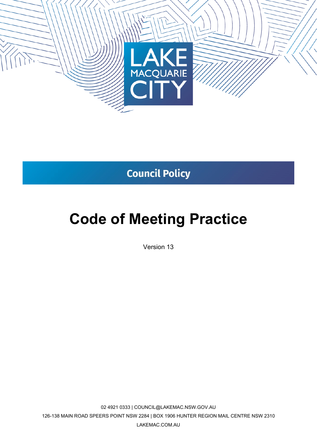

# **Council Policy**

# **Code of Meeting Practice**

Version 13

02 4921 0333 | COUNCIL@LAKEMAC.NSW.GOV.AU 126-138 MAIN ROAD SPEERS POINT NSW 2284 | BOX 1906 HUNTER REGION MAIL CENTRE NSW 2310 LAKEMAC.COM.AU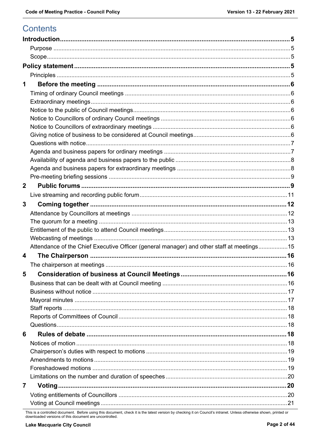# **Contents**

| 1              |                                                                                           |  |
|----------------|-------------------------------------------------------------------------------------------|--|
|                |                                                                                           |  |
|                |                                                                                           |  |
|                |                                                                                           |  |
|                |                                                                                           |  |
|                |                                                                                           |  |
|                |                                                                                           |  |
|                |                                                                                           |  |
|                |                                                                                           |  |
|                |                                                                                           |  |
|                |                                                                                           |  |
|                |                                                                                           |  |
| $\mathbf 2$    |                                                                                           |  |
|                |                                                                                           |  |
| 3              |                                                                                           |  |
|                |                                                                                           |  |
|                |                                                                                           |  |
|                |                                                                                           |  |
|                |                                                                                           |  |
|                | Attendance of the Chief Executive Officer (general manager) and other staff at meetings15 |  |
| 4              |                                                                                           |  |
|                |                                                                                           |  |
|                |                                                                                           |  |
|                |                                                                                           |  |
|                |                                                                                           |  |
|                |                                                                                           |  |
|                |                                                                                           |  |
|                |                                                                                           |  |
|                |                                                                                           |  |
| 6              |                                                                                           |  |
|                |                                                                                           |  |
|                |                                                                                           |  |
|                |                                                                                           |  |
|                |                                                                                           |  |
|                |                                                                                           |  |
| $\overline{7}$ |                                                                                           |  |
|                |                                                                                           |  |
|                |                                                                                           |  |

This is a controlled document. Before using this document, check it is the latest version by checking it on Council's intranet. Unless otherwise shown, printed or downloaded versions of this document are uncontrolled.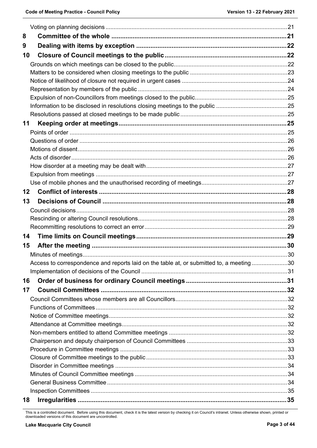| 8  |                                                                                          |  |
|----|------------------------------------------------------------------------------------------|--|
| 9  |                                                                                          |  |
| 10 |                                                                                          |  |
|    |                                                                                          |  |
|    |                                                                                          |  |
|    |                                                                                          |  |
|    |                                                                                          |  |
|    |                                                                                          |  |
|    |                                                                                          |  |
|    |                                                                                          |  |
| 11 |                                                                                          |  |
|    |                                                                                          |  |
|    |                                                                                          |  |
|    |                                                                                          |  |
|    |                                                                                          |  |
|    |                                                                                          |  |
|    |                                                                                          |  |
|    |                                                                                          |  |
| 12 |                                                                                          |  |
| 13 |                                                                                          |  |
|    |                                                                                          |  |
|    |                                                                                          |  |
|    |                                                                                          |  |
|    |                                                                                          |  |
| 14 |                                                                                          |  |
| 15 |                                                                                          |  |
|    |                                                                                          |  |
|    |                                                                                          |  |
|    | Access to correspondence and reports laid on the table at, or submitted to, a meeting 30 |  |
|    |                                                                                          |  |
| 16 |                                                                                          |  |
| 17 |                                                                                          |  |
|    |                                                                                          |  |
|    |                                                                                          |  |
|    |                                                                                          |  |
|    |                                                                                          |  |
|    |                                                                                          |  |
|    |                                                                                          |  |
|    |                                                                                          |  |
|    |                                                                                          |  |
|    |                                                                                          |  |
|    |                                                                                          |  |
|    |                                                                                          |  |

This is a controlled document. Before using this document, check it is the latest version by checking it on Council's intranet. Unless otherwise shown, printed or downloaded versions of this document are uncontrolled.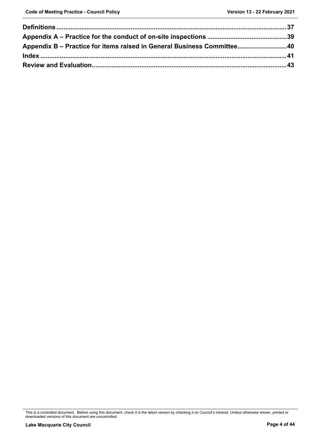| Appendix B - Practice for items raised in General Business Committee40 |  |
|------------------------------------------------------------------------|--|
|                                                                        |  |
|                                                                        |  |

This is a controlled document. Before using this document, check it is the latest version by checking it on Council's intranet. Unless otherwise shown, printed or downloaded versions of this document are uncontrolled.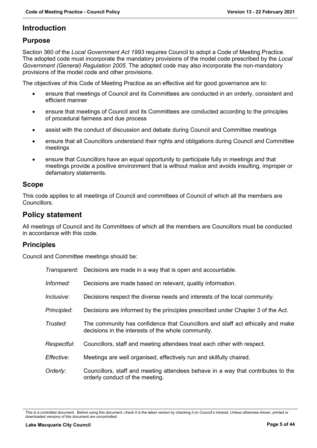## <span id="page-4-0"></span>**Introduction**

## <span id="page-4-1"></span>**Purpose**

Section 360 of the *Local Government Act 1993* requires Council to adopt a Code of Meeting Practice. The adopted code must incorporate the mandatory provisions of the model code prescribed by the *Local Government (General) Regulation 2005*. The adopted code may also incorporate the non-mandatory provisions of the model code and other provisions.

The objectives of this Code of Meeting Practice as an effective aid for good governance are to:

- ensure that meetings of Council and its Committees are conducted in an orderly, consistent and efficient manner
- ensure that meetings of Council and its Committees are conducted according to the principles of procedural fairness and due process
- assist with the conduct of discussion and debate during Council and Committee meetings
- ensure that all Councillors understand their rights and obligations during Council and Committee meetings
- ensure that Councillors have an equal opportunity to participate fully in meetings and that meetings provide a positive environment that is without malice and avoids insulting, improper or defamatory statements.

#### <span id="page-4-2"></span>**Scope**

This code applies to all meetings of Council and committees of Council of which all the members are Councillors.

## <span id="page-4-3"></span>**Policy statement**

All meetings of Council and its Committees of which all the members are Councillors must be conducted in accordance with this code.

## <span id="page-4-4"></span>**Principles**

Council and Committee meetings should be:

|             | <i>Transparent:</i> Decisions are made in a way that is open and accountable.                                                        |
|-------------|--------------------------------------------------------------------------------------------------------------------------------------|
| Informed:   | Decisions are made based on relevant, quality information.                                                                           |
| Inclusive:  | Decisions respect the diverse needs and interests of the local community.                                                            |
| Principled: | Decisions are informed by the principles prescribed under Chapter 3 of the Act.                                                      |
| Trusted:    | The community has confidence that Councillors and staff act ethically and make<br>decisions in the interests of the whole community. |
| Respectful: | Councillors, staff and meeting attendees treat each other with respect.                                                              |
| Effective:  | Meetings are well organised, effectively run and skilfully chaired.                                                                  |
| Orderly:    | Councillors, staff and meeting attendees behave in a way that contributes to the<br>orderly conduct of the meeting.                  |

This is a controlled document. Before using this document, check it is the latest version by checking it on Council's intranet. Unless otherwise shown, printed or downloaded versions of this document are uncontrolled.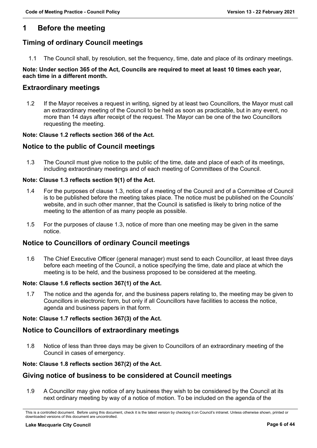## <span id="page-5-0"></span>**1 Before the meeting**

## <span id="page-5-1"></span>**Timing of ordinary Council meetings**

1.1 The Council shall, by resolution, set the frequency, time, date and place of its ordinary meetings.

#### **Note: Under section 365 of the Act, Councils are required to meet at least 10 times each year, each time in a different month.**

## <span id="page-5-2"></span>**Extraordinary meetings**

1.2 If the Mayor receives a request in writing, signed by at least two Councillors, the Mayor must call an extraordinary meeting of the Council to be held as soon as practicable, but in any event, no more than 14 days after receipt of the request. The Mayor can be one of the two Councillors requesting the meeting.

#### **Note: Clause 1.2 reflects section 366 of the Act.**

## <span id="page-5-3"></span>**Notice to the public of Council meetings**

1.3 The Council must give notice to the public of the time, date and place of each of its meetings, including extraordinary meetings and of each meeting of Committees of the Council.

#### **Note: Clause 1.3 reflects section 9(1) of the Act.**

- 1.4 For the purposes of clause 1.3, notice of a meeting of the Council and of a Committee of Council is to be published before the meeting takes place. The notice must be published on the Councils' website, and in such other manner, that the Council is satisfied is likely to bring notice of the meeting to the attention of as many people as possible.
- 1.5 For the purposes of clause 1.3, notice of more than one meeting may be given in the same notice.

#### <span id="page-5-4"></span>**Notice to Councillors of ordinary Council meetings**

1.6 The Chief Executive Officer (general manager) must send to each Councillor, at least three days before each meeting of the Council, a notice specifying the time, date and place at which the meeting is to be held, and the business proposed to be considered at the meeting.

#### **Note: Clause 1.6 reflects section 367(1) of the Act.**

1.7 The notice and the agenda for, and the business papers relating to, the meeting may be given to Councillors in electronic form, but only if all Councillors have facilities to access the notice, agenda and business papers in that form.

#### **Note: Clause 1.7 reflects section 367(3) of the Act.**

#### <span id="page-5-5"></span>**Notice to Councillors of extraordinary meetings**

1.8 Notice of less than three days may be given to Councillors of an extraordinary meeting of the Council in cases of emergency.

#### **Note: Clause 1.8 reflects section 367(2) of the Act.**

#### <span id="page-5-6"></span>**Giving notice of business to be considered at Council meetings**

1.9 A Councillor may give notice of any business they wish to be considered by the Council at its next ordinary meeting by way of a notice of motion. To be included on the agenda of the

This is a controlled document. Before using this document, check it is the latest version by checking it on Council's intranet. Unless otherwise shown, printed or downloaded versions of this document are uncontrolled.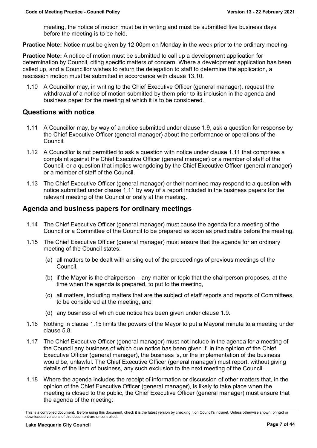meeting, the notice of motion must be in writing and must be submitted five business days before the meeting is to be held.

**Practice Note:** Notice must be given by 12.00pm on Monday in the week prior to the ordinary meeting.

**Practice Note:** A notice of motion must be submitted to call up a development application for determination by Council, citing specific matters of concern. Where a development application has been called up, and a Councillor wishes to return the delegation to staff to determine the application, a rescission motion must be submitted in accordance with clause 13.10.

1.10 A Councillor may, in writing to the Chief Executive Officer (general manager), request the withdrawal of a notice of motion submitted by them prior to its inclusion in the agenda and business paper for the meeting at which it is to be considered.

#### <span id="page-6-0"></span>**Questions with notice**

- 1.11 A Councillor may, by way of a notice submitted under clause 1.9, ask a question for response by the Chief Executive Officer (general manager) about the performance or operations of the Council.
- 1.12 A Councillor is not permitted to ask a question with notice under clause 1.11 that comprises a complaint against the Chief Executive Officer (general manager) or a member of staff of the Council, or a question that implies wrongdoing by the Chief Executive Officer (general manager) or a member of staff of the Council.
- 1.13 The Chief Executive Officer (general manager) or their nominee may respond to a question with notice submitted under clause 1.11 by way of a report included in the business papers for the relevant meeting of the Council or orally at the meeting.

#### <span id="page-6-1"></span>**Agenda and business papers for ordinary meetings**

- 1.14 The Chief Executive Officer (general manager) must cause the agenda for a meeting of the Council or a Committee of the Council to be prepared as soon as practicable before the meeting.
- 1.15 The Chief Executive Officer (general manager) must ensure that the agenda for an ordinary meeting of the Council states:
	- (a) all matters to be dealt with arising out of the proceedings of previous meetings of the Council,
	- (b) if the Mayor is the chairperson any matter or topic that the chairperson proposes, at the time when the agenda is prepared, to put to the meeting,
	- (c) all matters, including matters that are the subject of staff reports and reports of Committees, to be considered at the meeting, and
	- (d) any business of which due notice has been given under clause 1.9.
- 1.16 Nothing in clause 1.15 limits the powers of the Mayor to put a Mayoral minute to a meeting under clause 5.8.
- 1.17 The Chief Executive Officer (general manager) must not include in the agenda for a meeting of the Council any business of which due notice has been given if, in the opinion of the Chief Executive Officer (general manager), the business is, or the implementation of the business would be, unlawful. The Chief Executive Officer (general manager) must report, without giving details of the item of business, any such exclusion to the next meeting of the Council.
- 1.18 Where the agenda includes the receipt of information or discussion of other matters that, in the opinion of the Chief Executive Officer (general manager), is likely to take place when the meeting is closed to the public, the Chief Executive Officer (general manager) must ensure that the agenda of the meeting:

This is a controlled document. Before using this document, check it is the latest version by checking it on Council's intranet. Unless otherwise shown, printed or downloaded versions of this document are uncontrolled.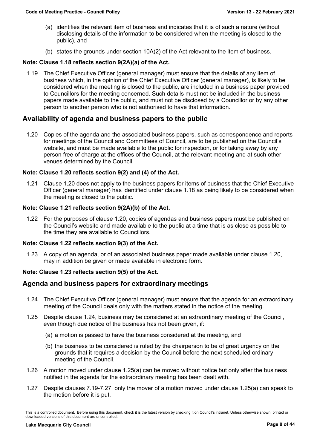- (a) identifies the relevant item of business and indicates that it is of such a nature (without disclosing details of the information to be considered when the meeting is closed to the public), and
- (b) states the grounds under section 10A(2) of the Act relevant to the item of business.

#### **Note: Clause 1.18 reflects section 9(2A)(a) of the Act.**

1.19 The Chief Executive Officer (general manager) must ensure that the details of any item of business which, in the opinion of the Chief Executive Officer (general manager), is likely to be considered when the meeting is closed to the public, are included in a business paper provided to Councillors for the meeting concerned. Such details must not be included in the business papers made available to the public, and must not be disclosed by a Councillor or by any other person to another person who is not authorised to have that information.

## <span id="page-7-0"></span>**Availability of agenda and business papers to the public**

1.20 Copies of the agenda and the associated business papers, such as correspondence and reports for meetings of the Council and Committees of Council, are to be published on the Council's website, and must be made available to the public for inspection, or for taking away by any person free of charge at the offices of the Council, at the relevant meeting and at such other venues determined by the Council.

#### **Note: Clause 1.20 reflects section 9(2) and (4) of the Act.**

1.21 Clause 1.20 does not apply to the business papers for items of business that the Chief Executive Officer (general manager) has identified under clause 1.18 as being likely to be considered when the meeting is closed to the public.

#### **Note: Clause 1.21 reflects section 9(2A)(b) of the Act.**

1.22 For the purposes of clause 1.20, copies of agendas and business papers must be published on the Council's website and made available to the public at a time that is as close as possible to the time they are available to Councillors.

#### **Note: Clause 1.22 reflects section 9(3) of the Act.**

1.23 A copy of an agenda, or of an associated business paper made available under clause 1.20, may in addition be given or made available in electronic form.

#### **Note: Clause 1.23 reflects section 9(5) of the Act.**

#### <span id="page-7-1"></span>**Agenda and business papers for extraordinary meetings**

- 1.24 The Chief Executive Officer (general manager) must ensure that the agenda for an extraordinary meeting of the Council deals only with the matters stated in the notice of the meeting.
- 1.25 Despite clause 1.24, business may be considered at an extraordinary meeting of the Council, even though due notice of the business has not been given, if:
	- (a) a motion is passed to have the business considered at the meeting, and
	- (b) the business to be considered is ruled by the chairperson to be of great urgency on the grounds that it requires a decision by the Council before the next scheduled ordinary meeting of the Council.
- 1.26 A motion moved under clause 1.25(a) can be moved without notice but only after the business notified in the agenda for the extraordinary meeting has been dealt with.
- 1.27 Despite clauses 7.19-7.27, only the mover of a motion moved under clause 1.25(a) can speak to the motion before it is put.

This is a controlled document. Before using this document, check it is the latest version by checking it on Council's intranet. Unless otherwise shown, printed or downloaded versions of this document are uncontrolled.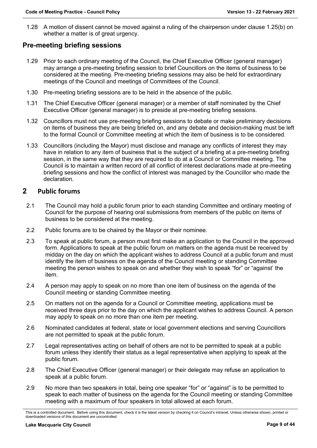1.28 A motion of dissent cannot be moved against a ruling of the chairperson under clause 1.25(b) on whether a matter is of great urgency.

## <span id="page-8-0"></span>**Pre-meeting briefing sessions**

- 1.29 Prior to each ordinary meeting of the Council, the Chief Executive Officer (general manager) may arrange a pre-meeting briefing session to brief Councillors on the items of business to be considered at the meeting. Pre-meeting briefing sessions may also be held for extraordinary meetings of the Council and meetings of Committees of the Council.
- 1.30 Pre-meeting briefing sessions are to be held in the absence of the public.
- 1.31 The Chief Executive Officer (general manager) or a member of staff nominated by the Chief Executive Officer (general manager) is to preside at pre-meeting briefing sessions.
- 1.32 Councillors must not use pre-meeting briefing sessions to debate or make preliminary decisions on items of business they are being briefed on, and any debate and decision-making must be left to the formal Council or Committee meeting at which the item of business is to be considered.
- 1.33 Councillors (including the Mayor) must disclose and manage any conflicts of interest they may have in relation to any item of business that is the subject of a briefing at a pre-meeting briefing session, in the same way that they are required to do at a Council or Committee meeting. The Council is to maintain a written record of all conflict of interest declarations made at pre-meeting briefing sessions and how the conflict of interest was managed by the Councillor who made the declaration.

#### <span id="page-8-1"></span>**2 Public forums**

- 2.1 The Council may hold a public forum prior to each standing Committee and ordinary meeting of Council for the purpose of hearing oral submissions from members of the public on items of business to be considered at the meeting.
- 2.2 Public forums are to be chaired by the Mayor or their nominee.
- 2.3 To speak at public forum, a person must first make an application to the Council in the approved form. Applications to speak at the public forum on matters on the agenda must be received by midday on the day on which the applicant wishes to address Council at a public forum and must identify the item of business on the agenda of the Council meeting or standing Committee meeting the person wishes to speak on and whether they wish to speak "for" or "against' the item.
- 2.4 A person may apply to speak on no more than one item of business on the agenda of the Council meeting or standing Committee meeting.
- 2.5 On matters not on the agenda for a Council or Committee meeting, applications must be received three days prior to the day on which the applicant wishes to address Council. A person may apply to speak on no more than one item per meeting.
- 2.6 Nominated candidates at federal, state or local government elections and serving Councillors are not permitted to speak at the public forum.
- 2.7 Legal representatives acting on behalf of others are not to be permitted to speak at a public forum unless they identify their status as a legal representative when applying to speak at the public forum.
- 2.8 The Chief Executive Officer (general manager) or their delegate may refuse an application to speak at a public forum.
- 2.9 No more than two speakers in total, being one speaker "for" or "against" is to be permitted to speak to each matter of business on the agenda for the Council meeting or standing Committee meeting with a maximum of four speakers in total allowed at each forum.

This is a controlled document. Before using this document, check it is the latest version by checking it on Council's intranet. Unless otherwise shown, printed or downloaded versions of this document are uncontrolled.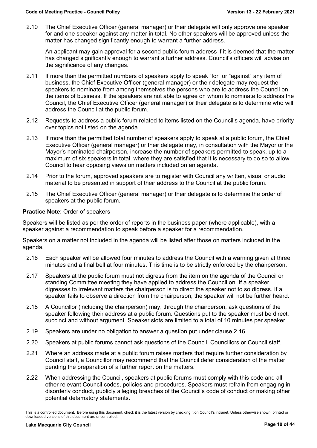2.10 The Chief Executive Officer (general manager) or their delegate will only approve one speaker for and one speaker against any matter in total. No other speakers will be approved unless the matter has changed significantly enough to warrant a further address.

An applicant may gain approval for a second public forum address if it is deemed that the matter has changed significantly enough to warrant a further address. Council's officers will advise on the significance of any changes.

- 2.11 If more than the permitted numbers of speakers apply to speak "for" or "against" any item of business, the Chief Executive Officer (general manager) or their delegate may request the speakers to nominate from among themselves the persons who are to address the Council on the items of business. If the speakers are not able to agree on whom to nominate to address the Council, the Chief Executive Officer (general manager) or their delegate is to determine who will address the Council at the public forum.
- 2.12 Requests to address a public forum related to items listed on the Council's agenda, have priority over topics not listed on the agenda.
- 2.13 If more than the permitted total number of speakers apply to speak at a public forum, the Chief Executive Officer (general manager) or their delegate may, in consultation with the Mayor or the Mayor's nominated chairperson, increase the number of speakers permitted to speak, up to a maximum of six speakers in total, where they are satisfied that it is necessary to do so to allow Council to hear opposing views on matters included on an agenda.
- 2.14 Prior to the forum, approved speakers are to register with Council any written, visual or audio material to be presented in support of their address to the Council at the public forum.
- 2.15 The Chief Executive Officer (general manager) or their delegate is to determine the order of speakers at the public forum.

#### **Practice Note**: Order of speakers

Speakers will be listed as per the order of reports in the business paper (where applicable), with a speaker against a recommendation to speak before a speaker for a recommendation.

Speakers on a matter not included in the agenda will be listed after those on matters included in the agenda.

- 2.16 Each speaker will be allowed four minutes to address the Council with a warning given at three minutes and a final bell at four minutes. This time is to be strictly enforced by the chairperson.
- 2.17 Speakers at the public forum must not digress from the item on the agenda of the Council or standing Committee meeting they have applied to address the Council on. If a speaker digresses to irrelevant matters the chairperson is to direct the speaker not to so digress. If a speaker fails to observe a direction from the chairperson, the speaker will not be further heard.
- 2.18 A Councillor (including the chairperson) may, through the chairperson, ask questions of the speaker following their address at a public forum. Questions put to the speaker must be direct, succinct and without argument. Speaker slots are limited to a total of 10 minutes per speaker.
- 2.19 Speakers are under no obligation to answer a question put under clause 2.16.
- 2.20 Speakers at public forums cannot ask questions of the Council, Councillors or Council staff.
- 2.21 Where an address made at a public forum raises matters that require further consideration by Council staff, a Councillor may recommend that the Council defer consideration of the matter pending the preparation of a further report on the matters.
- 2.22 When addressing the Council, speakers at public forums must comply with this code and all other relevant Council codes, policies and procedures. Speakers must refrain from engaging in disorderly conduct, publicly alleging breaches of the Council's code of conduct or making other potential defamatory statements.

This is a controlled document. Before using this document, check it is the latest version by checking it on Council's intranet. Unless otherwise shown, printed or downloaded versions of this document are uncontrolled.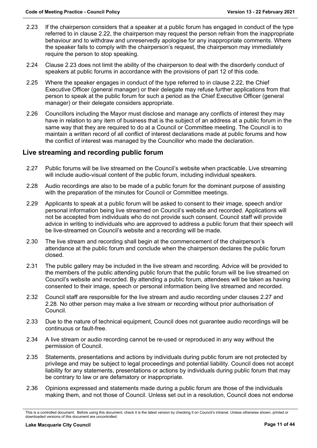- 2.23 If the chairperson considers that a speaker at a public forum has engaged in conduct of the type referred to in clause 2.22, the chairperson may request the person refrain from the inappropriate behaviour and to withdraw and unreservedly apologise for any inappropriate comments. Where the speaker fails to comply with the chairperson's request, the chairperson may immediately require the person to stop speaking.
- 2.24 Clause 2.23 does not limit the ability of the chairperson to deal with the disorderly conduct of speakers at public forums in accordance with the provisions of part 12 of this code.
- 2.25 Where the speaker engages in conduct of the type referred to in clause 2.22, the Chief Executive Officer (general manager) or their delegate may refuse further applications from that person to speak at the public forum for such a period as the Chief Executive Officer (general manager) or their delegate considers appropriate.
- 2.26 Councillors including the Mayor must disclose and manage any conflicts of interest they may have in relation to any item of business that is the subject of an address at a public forum in the same way that they are required to do at a Council or Committee meeting. The Council is to maintain a written record of all conflict of interest declarations made at public forums and how the conflict of interest was managed by the Councillor who made the declaration.

## <span id="page-10-0"></span>**Live streaming and recording public forum**

- 2.27 Public forums will be live streamed on the Council's website when practicable. Live streaming will include audio-visual content of the public forum, including individual speakers.
- 2.28 Audio recordings are also to be made of a public forum for the dominant purpose of assisting with the preparation of the minutes for Council or Committee meetings.
- 2.29 Applicants to speak at a public forum will be asked to consent to their image, speech and/or personal information being live streamed on Council's website and recorded. Applications will not be accepted from individuals who do not provide such consent. Council staff will provide advice in writing to individuals who are approved to address a public forum that their speech will be live-streamed on Council's website and a recording will be made.
- 2.30 The live stream and recording shall begin at the commencement of the chairperson's attendance at the public forum and conclude when the chairperson declares the public forum closed.
- 2.31 The public gallery may be included in the live stream and recording. Advice will be provided to the members of the public attending public forum that the public forum will be live streamed on Council's website and recorded. By attending a public forum, attendees will be taken as having consented to their image, speech or personal information being live streamed and recorded.
- 2.32 Council staff are responsible for the live stream and audio recording under clauses 2.27 and 2.28. No other person may make a live stream or recording without prior authorisation of Council.
- 2.33 Due to the nature of technical equipment, Council does not guarantee audio recordings will be continuous or fault-free.
- 2.34 A live stream or audio recording cannot be re-used or reproduced in any way without the permission of Council.
- 2.35 Statements, presentations and actions by individuals during public forum are not protected by privilege and may be subject to legal proceedings and potential liability. Council does not accept liability for any statements, presentations or actions by individuals during public forum that may be contrary to law or are defamatory or inappropriate.
- 2.36 Opinions expressed and statements made during a public forum are those of the individuals making them, and not those of Council. Unless set out in a resolution, Council does not endorse

This is a controlled document. Before using this document, check it is the latest version by checking it on Council's intranet. Unless otherwise shown, printed or downloaded versions of this document are uncontrolled.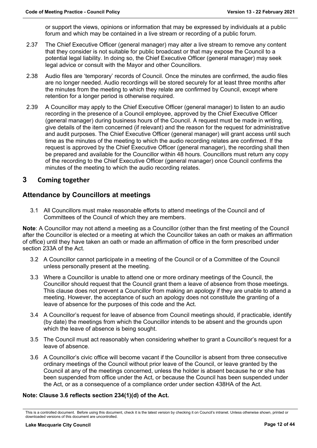or support the views, opinions or information that may be expressed by individuals at a public forum and which may be contained in a live stream or recording of a public forum.

- 2.37 The Chief Executive Officer (general manager) may alter a live stream to remove any content that they consider is not suitable for public broadcast or that may expose the Council to a potential legal liability. In doing so, the Chief Executive Officer (general manager) may seek legal advice or consult with the Mayor and other Councillors.
- 2.38 Audio files are 'temporary' records of Council. Once the minutes are confirmed, the audio files are no longer needed. Audio recordings will be stored securely for at least three months after the minutes from the meeting to which they relate are confirmed by Council, except where retention for a longer period is otherwise required.
- 2.39 A Councillor may apply to the Chief Executive Officer (general manager) to listen to an audio recording in the presence of a Council employee, approved by the Chief Executive Officer (general manager) during business hours of the Council. A request must be made in writing, give details of the item concerned (if relevant) and the reason for the request for administrative and audit purposes. The Chief Executive Officer (general manager) will grant access until such time as the minutes of the meeting to which the audio recording relates are confirmed. If the request is approved by the Chief Executive Officer (general manager), the recording shall then be prepared and available for the Councillor within 48 hours. Councillors must return any copy of the recording to the Chief Executive Officer (general manager) once Council confirms the minutes of the meeting to which the audio recording relates.

## <span id="page-11-0"></span>**3 Coming together**

## <span id="page-11-1"></span>**Attendance by Councillors at meetings**

3.1 All Councillors must make reasonable efforts to attend meetings of the Council and of Committees of the Council of which they are members.

**Note**: A Councillor may not attend a meeting as a Councillor (other than the first meeting of the Council after the Councillor is elected or a meeting at which the Councillor takes an oath or makes an affirmation of office) until they have taken an oath or made an affirmation of office in the form prescribed under section 233A of the Act.

- 3.2 A Councillor cannot participate in a meeting of the Council or of a Committee of the Council unless personally present at the meeting.
- 3.3 Where a Councillor is unable to attend one or more ordinary meetings of the Council, the Councillor should request that the Council grant them a leave of absence from those meetings. This clause does not prevent a Councillor from making an apology if they are unable to attend a meeting. However, the acceptance of such an apology does not constitute the granting of a leave of absence for the purposes of this code and the Act.
- 3.4 A Councillor's request for leave of absence from Council meetings should, if practicable, identify (by date) the meetings from which the Councillor intends to be absent and the grounds upon which the leave of absence is being sought.
- 3.5 The Council must act reasonably when considering whether to grant a Councillor's request for a leave of absence.
- 3.6 A Councillor's civic office will become vacant if the Councillor is absent from three consecutive ordinary meetings of the Council without prior leave of the Council, or leave granted by the Council at any of the meetings concerned, unless the holder is absent because he or she has been suspended from office under the Act, or because the Council has been suspended under the Act, or as a consequence of a compliance order under section 438HA of the Act.

#### **Note: Clause 3.6 reflects section 234(1)(d) of the Act.**

This is a controlled document. Before using this document, check it is the latest version by checking it on Council's intranet. Unless otherwise shown, printed or downloaded versions of this document are uncontrolled.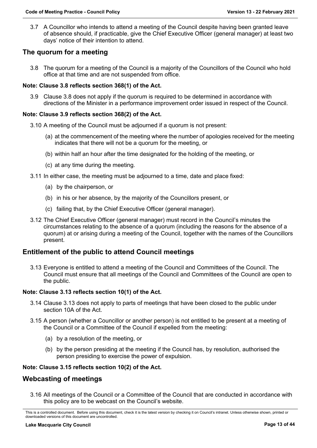3.7 A Councillor who intends to attend a meeting of the Council despite having been granted leave of absence should, if practicable, give the Chief Executive Officer (general manager) at least two days' notice of their intention to attend.

## <span id="page-12-0"></span>**The quorum for a meeting**

3.8 The quorum for a meeting of the Council is a majority of the Councillors of the Council who hold office at that time and are not suspended from office.

#### **Note: Clause 3.8 reflects section 368(1) of the Act.**

3.9 Clause 3.8 does not apply if the quorum is required to be determined in accordance with directions of the Minister in a performance improvement order issued in respect of the Council.

#### **Note: Clause 3.9 reflects section 368(2) of the Act.**

- 3.10 A meeting of the Council must be adjourned if a quorum is not present:
	- (a) at the commencement of the meeting where the number of apologies received for the meeting indicates that there will not be a quorum for the meeting, or
	- (b) within half an hour after the time designated for the holding of the meeting, or
	- (c) at any time during the meeting.
- 3.11 In either case, the meeting must be adjourned to a time, date and place fixed:
	- (a) by the chairperson, or
	- (b) in his or her absence, by the majority of the Councillors present, or
	- (c) failing that, by the Chief Executive Officer (general manager).
- 3.12 The Chief Executive Officer (general manager) must record in the Council's minutes the circumstances relating to the absence of a quorum (including the reasons for the absence of a quorum) at or arising during a meeting of the Council, together with the names of the Councillors present.

#### <span id="page-12-1"></span>**Entitlement of the public to attend Council meetings**

3.13 Everyone is entitled to attend a meeting of the Council and Committees of the Council. The Council must ensure that all meetings of the Council and Committees of the Council are open to the public.

#### **Note: Clause 3.13 reflects section 10(1) of the Act.**

- 3.14 Clause 3.13 does not apply to parts of meetings that have been closed to the public under section 10A of the Act.
- 3.15 A person (whether a Councillor or another person) is not entitled to be present at a meeting of the Council or a Committee of the Council if expelled from the meeting:
	- (a) by a resolution of the meeting, or
	- (b) by the person presiding at the meeting if the Council has, by resolution, authorised the person presiding to exercise the power of expulsion.

#### **Note: Clause 3.15 reflects section 10(2) of the Act.**

#### <span id="page-12-2"></span>**Webcasting of meetings**

3.16 All meetings of the Council or a Committee of the Council that are conducted in accordance with this policy are to be webcast on the Council's website.

This is a controlled document. Before using this document, check it is the latest version by checking it on Council's intranet. Unless otherwise shown, printed or downloaded versions of this document are uncontrolled.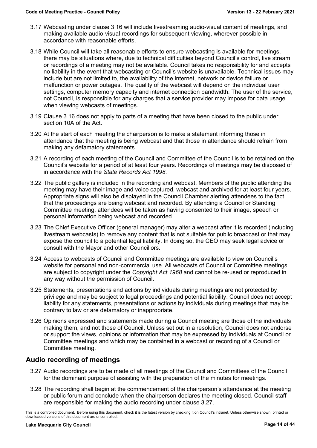- 3.17 Webcasting under clause 3.16 will include livestreaming audio-visual content of meetings, and making available audio-visual recordings for subsequent viewing, wherever possible in accordance with reasonable efforts.
- 3.18 While Council will take all reasonable efforts to ensure webcasting is available for meetings, there may be situations where, due to technical difficulties beyond Council's control, live stream or recordings of a meeting may not be available. Council takes no responsibility for and accepts no liability in the event that webcasting or Council's website is unavailable. Technical issues may include but are not limited to, the availability of the internet, network or device failure or malfunction or power outages. The quality of the webcast will depend on the individual user settings, computer memory capacity and internet connection bandwidth. The user of the service, not Council, is responsible for any charges that a service provider may impose for data usage when viewing webcasts of meetings.
- 3.19 Clause 3.16 does not apply to parts of a meeting that have been closed to the public under section 10A of the Act.
- 3.20 At the start of each meeting the chairperson is to make a statement informing those in attendance that the meeting is being webcast and that those in attendance should refrain from making any defamatory statements.
- 3.21 A recording of each meeting of the Council and Committee of the Council is to be retained on the Council's website for a period of at least four years. Recordings of meetings may be disposed of in accordance with the *State Records Act 1998*.
- 3.22 The public gallery is included in the recording and webcast. Members of the public attending the meeting may have their image and voice captured, webcast and archived for at least four years. Appropriate signs will also be displayed in the Council Chamber alerting attendees to the fact that the proceedings are being webcast and recorded. By attending a Council or Standing Committee meeting, attendees will be taken as having consented to their image, speech or personal information being webcast and recorded.
- 3.23 The Chief Executive Officer (general manager) may alter a webcast after it is recorded (including livestream webcasts) to remove any content that is not suitable for public broadcast or that may expose the council to a potential legal liability. In doing so, the CEO may seek legal advice or consult with the Mayor and other Councillors.
- 3.24 Access to webcasts of Council and Committee meetings are available to view on Council's website for personal and non-commercial use. All webcasts of Council or Committee meetings are subject to copyright under the *Copyright Act 1968* and cannot be re-used or reproduced in any way without the permission of Council.
- 3.25 Statements, presentations and actions by individuals during meetings are not protected by privilege and may be subject to legal proceedings and potential liability. Council does not accept liability for any statements, presentations or actions by individuals during meetings that may be contrary to law or are defamatory or inappropriate.
- 3.26 Opinions expressed and statements made during a Council meeting are those of the individuals making them, and not those of Council. Unless set out in a resolution, Council does not endorse or support the views, opinions or information that may be expressed by individuals at Council or Committee meetings and which may be contained in a webcast or recording of a Council or Committee meeting.

## **Audio recording of meetings**

- 3.27 Audio recordings are to be made of all meetings of the Council and Committees of the Council for the dominant purpose of assisting with the preparation of the minutes for meetings.
- 3.28 The recording shall begin at the commencement of the chairperson's attendance at the meeting or public forum and conclude when the chairperson declares the meeting closed. Council staff are responsible for making the audio recording under clause 3.27.

This is a controlled document. Before using this document, check it is the latest version by checking it on Council's intranet. Unless otherwise shown, printed or downloaded versions of this document are uncontrolled.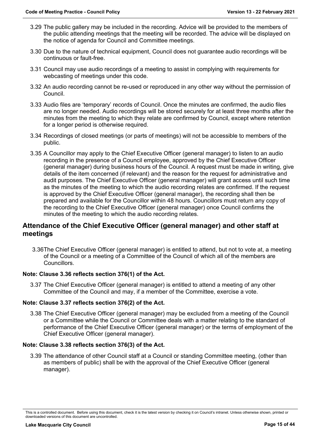- 3.29 The public gallery may be included in the recording. Advice will be provided to the members of the public attending meetings that the meeting will be recorded. The advice will be displayed on the notice of agenda for Council and Committee meetings.
- 3.30 Due to the nature of technical equipment, Council does not guarantee audio recordings will be continuous or fault-free.
- 3.31 Council may use audio recordings of a meeting to assist in complying with requirements for webcasting of meetings under this code.
- 3.32 An audio recording cannot be re-used or reproduced in any other way without the permission of Council.
- 3.33 Audio files are 'temporary' records of Council. Once the minutes are confirmed, the audio files are no longer needed. Audio recordings will be stored securely for at least three months after the minutes from the meeting to which they relate are confirmed by Council, except where retention for a longer period is otherwise required.
- 3.34 Recordings of closed meetings (or parts of meetings) will not be accessible to members of the public.
- 3.35 A Councillor may apply to the Chief Executive Officer (general manager) to listen to an audio recording in the presence of a Council employee, approved by the Chief Executive Officer (general manager) during business hours of the Council. A request must be made in writing, give details of the item concerned (if relevant) and the reason for the request for administrative and audit purposes. The Chief Executive Officer (general manager) will grant access until such time as the minutes of the meeting to which the audio recording relates are confirmed. If the request is approved by the Chief Executive Officer (general manager), the recording shall then be prepared and available for the Councillor within 48 hours. Councillors must return any copy of the recording to the Chief Executive Officer (general manager) once Council confirms the minutes of the meeting to which the audio recording relates.

## <span id="page-14-0"></span>**Attendance of the Chief Executive Officer (general manager) and other staff at meetings**

3.36The Chief Executive Officer (general manager) is entitled to attend, but not to vote at, a meeting of the Council or a meeting of a Committee of the Council of which all of the members are Councillors.

#### **Note: Clause 3.36 reflects section 376(1) of the Act.**

3.37 The Chief Executive Officer (general manager) is entitled to attend a meeting of any other Committee of the Council and may, if a member of the Committee, exercise a vote.

#### **Note: Clause 3.37 reflects section 376(2) of the Act.**

3.38 The Chief Executive Officer (general manager) may be excluded from a meeting of the Council or a Committee while the Council or Committee deals with a matter relating to the standard of performance of the Chief Executive Officer (general manager) or the terms of employment of the Chief Executive Officer (general manager).

#### **Note: Clause 3.38 reflects section 376(3) of the Act.**

3.39 The attendance of other Council staff at a Council or standing Committee meeting, (other than as members of public) shall be with the approval of the Chief Executive Officer (general manager).

This is a controlled document. Before using this document, check it is the latest version by checking it on Council's intranet. Unless otherwise shown, printed or downloaded versions of this document are uncontrolled.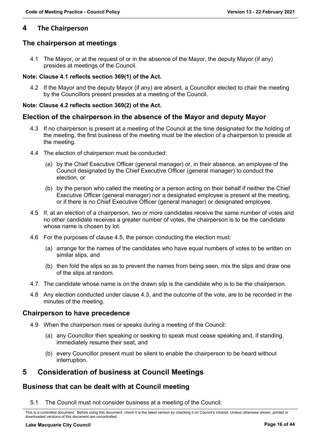## <span id="page-15-0"></span>**4 The Chairperson**

## <span id="page-15-1"></span>**The chairperson at meetings**

4.1 The Mayor, or at the request of or in the absence of the Mayor, the deputy Mayor (if any) presides at meetings of the Council.

#### **Note: Clause 4.1 reflects section 369(1) of the Act.**

4.2 If the Mayor and the deputy Mayor (if any) are absent, a Councillor elected to chair the meeting by the Councillors present presides at a meeting of the Council.

#### **Note: Clause 4.2 reflects section 369(2) of the Act.**

## **Election of the chairperson in the absence of the Mayor and deputy Mayor**

- 4.3 If no chairperson is present at a meeting of the Council at the time designated for the holding of the meeting, the first business of the meeting must be the election of a chairperson to preside at the meeting.
- 4.4 The election of chairperson must be conducted:
	- (a) by the Chief Executive Officer (general manager) or, in their absence, an employee of the Council designated by the Chief Executive Officer (general manager) to conduct the election, or
	- (b) by the person who called the meeting or a person acting on their behalf if neither the Chief Executive Officer (general manager) nor a designated employee is present at the meeting, or if there is no Chief Executive Officer (general manager) or designated employee.
- 4.5 If, at an election of a chairperson, two or more candidates receive the same number of votes and no other candidate receives a greater number of votes, the chairperson is to be the candidate whose name is chosen by lot.
- 4.6 For the purposes of clause 4.5, the person conducting the election must:
	- (a) arrange for the names of the candidates who have equal numbers of votes to be written on similar slips, and
	- (b) then fold the slips so as to prevent the names from being seen, mix the slips and draw one of the slips at random.
- 4.7 The candidate whose name is on the drawn slip is the candidate who is to be the chairperson.
- 4.8 Any election conducted under clause 4.3, and the outcome of the vote, are to be recorded in the minutes of the meeting.

#### **Chairperson to have precedence**

- 4.9 When the chairperson rises or speaks during a meeting of the Council:
	- (a) any Councillor then speaking or seeking to speak must cease speaking and, if standing, immediately resume their seat, and
	- (b) every Councillor present must be silent to enable the chairperson to be heard without interruption.

## <span id="page-15-2"></span>**5 Consideration of business at Council Meetings**

## <span id="page-15-3"></span>**Business that can be dealt with at Council meeting**

5.1 The Council must not consider business at a meeting of the Council:

This is a controlled document. Before using this document, check it is the latest version by checking it on Council's intranet. Unless otherwise shown, printed or downloaded versions of this document are uncontrolled.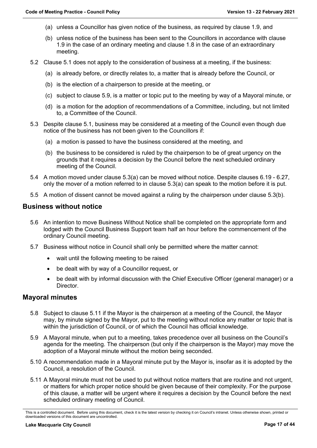- (a) unless a Councillor has given notice of the business, as required by clause 1.9, and
- (b) unless notice of the business has been sent to the Councillors in accordance with clause 1.9 in the case of an ordinary meeting and clause 1.8 in the case of an extraordinary meeting.
- 5.2 Clause 5.1 does not apply to the consideration of business at a meeting, if the business:
	- (a) is already before, or directly relates to, a matter that is already before the Council, or
	- (b) is the election of a chairperson to preside at the meeting, or
	- (c) subject to clause 5.9, is a matter or topic put to the meeting by way of a Mayoral minute, or
	- (d) is a motion for the adoption of recommendations of a Committee, including, but not limited to, a Committee of the Council.
- 5.3 Despite clause 5.1, business may be considered at a meeting of the Council even though due notice of the business has not been given to the Councillors if:
	- (a) a motion is passed to have the business considered at the meeting, and
	- (b) the business to be considered is ruled by the chairperson to be of great urgency on the grounds that it requires a decision by the Council before the next scheduled ordinary meeting of the Council.
- 5.4 A motion moved under clause 5.3(a) can be moved without notice. Despite clauses 6.19 6.27, only the mover of a motion referred to in clause 5.3(a) can speak to the motion before it is put.
- 5.5 A motion of dissent cannot be moved against a ruling by the chairperson under clause 5.3(b).

#### <span id="page-16-0"></span>**Business without notice**

- 5.6 An intention to move Business Without Notice shall be completed on the appropriate form and lodged with the Council Business Support team half an hour before the commencement of the ordinary Council meeting.
- 5.7 Business without notice in Council shall only be permitted where the matter cannot:
	- wait until the following meeting to be raised
	- be dealt with by way of a Councillor request, or
	- be dealt with by informal discussion with the Chief Executive Officer (general manager) or a **Director**

#### <span id="page-16-1"></span>**Mayoral minutes**

- 5.8 Subject to clause 5.11 if the Mayor is the chairperson at a meeting of the Council, the Mayor may, by minute signed by the Mayor, put to the meeting without notice any matter or topic that is within the jurisdiction of Council, or of which the Council has official knowledge.
- 5.9 A Mayoral minute, when put to a meeting, takes precedence over all business on the Council's agenda for the meeting. The chairperson (but only if the chairperson is the Mayor) may move the adoption of a Mayoral minute without the motion being seconded.
- 5.10 A recommendation made in a Mayoral minute put by the Mayor is, insofar as it is adopted by the Council, a resolution of the Council.
- 5.11 A Mayoral minute must not be used to put without notice matters that are routine and not urgent, or matters for which proper notice should be given because of their complexity. For the purpose of this clause, a matter will be urgent where it requires a decision by the Council before the next scheduled ordinary meeting of Council.

This is a controlled document. Before using this document, check it is the latest version by checking it on Council's intranet. Unless otherwise shown, printed or downloaded versions of this document are uncontrolled.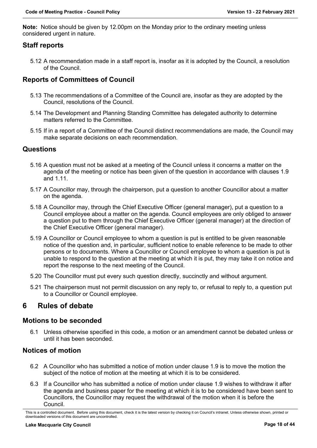**Note:** Notice should be given by 12.00pm on the Monday prior to the ordinary meeting unless considered urgent in nature.

## <span id="page-17-0"></span>**Staff reports**

5.12 A recommendation made in a staff report is, insofar as it is adopted by the Council, a resolution of the Council.

## <span id="page-17-1"></span>**Reports of Committees of Council**

- 5.13 The recommendations of a Committee of the Council are, insofar as they are adopted by the Council, resolutions of the Council.
- 5.14 The Development and Planning Standing Committee has delegated authority to determine matters referred to the Committee.
- 5.15 If in a report of a Committee of the Council distinct recommendations are made, the Council may make separate decisions on each recommendation.

## <span id="page-17-2"></span>**Questions**

- 5.16 A question must not be asked at a meeting of the Council unless it concerns a matter on the agenda of the meeting or notice has been given of the question in accordance with clauses 1.9 and 1.11.
- 5.17 A Councillor may, through the chairperson, put a question to another Councillor about a matter on the agenda.
- 5.18 A Councillor may, through the Chief Executive Officer (general manager), put a question to a Council employee about a matter on the agenda. Council employees are only obliged to answer a question put to them through the Chief Executive Officer (general manager) at the direction of the Chief Executive Officer (general manager).
- 5.19 A Councillor or Council employee to whom a question is put is entitled to be given reasonable notice of the question and, in particular, sufficient notice to enable reference to be made to other persons or to documents. Where a Councillor or Council employee to whom a question is put is unable to respond to the question at the meeting at which it is put, they may take it on notice and report the response to the next meeting of the Council.
- 5.20 The Councillor must put every such question directly, succinctly and without argument.
- 5.21 The chairperson must not permit discussion on any reply to, or refusal to reply to, a question put to a Councillor or Council employee.

## <span id="page-17-3"></span>**6 Rules of debate**

#### **Motions to be seconded**

6.1 Unless otherwise specified in this code, a motion or an amendment cannot be debated unless or until it has been seconded.

## <span id="page-17-4"></span>**Notices of motion**

- 6.2 A Councillor who has submitted a notice of motion under clause 1.9 is to move the motion the subject of the notice of motion at the meeting at which it is to be considered.
- 6.3 If a Councillor who has submitted a notice of motion under clause 1.9 wishes to withdraw it after the agenda and business paper for the meeting at which it is to be considered have been sent to Councillors, the Councillor may request the withdrawal of the motion when it is before the Council.

This is a controlled document. Before using this document, check it is the latest version by checking it on Council's intranet. Unless otherwise shown, printed or downloaded versions of this document are uncontrolled.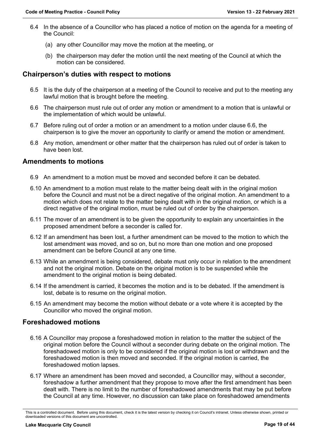- 6.4 In the absence of a Councillor who has placed a notice of motion on the agenda for a meeting of the Council:
	- (a) any other Councillor may move the motion at the meeting, or
	- (b) the chairperson may defer the motion until the next meeting of the Council at which the motion can be considered.

#### <span id="page-18-0"></span>**Chairperson's duties with respect to motions**

- 6.5 It is the duty of the chairperson at a meeting of the Council to receive and put to the meeting any lawful motion that is brought before the meeting.
- 6.6 The chairperson must rule out of order any motion or amendment to a motion that is unlawful or the implementation of which would be unlawful.
- 6.7 Before ruling out of order a motion or an amendment to a motion under clause 6.6, the chairperson is to give the mover an opportunity to clarify or amend the motion or amendment.
- 6.8 Any motion, amendment or other matter that the chairperson has ruled out of order is taken to have been lost.

#### <span id="page-18-1"></span>**Amendments to motions**

- 6.9 An amendment to a motion must be moved and seconded before it can be debated.
- 6.10 An amendment to a motion must relate to the matter being dealt with in the original motion before the Council and must not be a direct negative of the original motion. An amendment to a motion which does not relate to the matter being dealt with in the original motion, or which is a direct negative of the original motion, must be ruled out of order by the chairperson.
- 6.11 The mover of an amendment is to be given the opportunity to explain any uncertainties in the proposed amendment before a seconder is called for.
- 6.12 If an amendment has been lost, a further amendment can be moved to the motion to which the lost amendment was moved, and so on, but no more than one motion and one proposed amendment can be before Council at any one time.
- 6.13 While an amendment is being considered, debate must only occur in relation to the amendment and not the original motion. Debate on the original motion is to be suspended while the amendment to the original motion is being debated.
- 6.14 If the amendment is carried, it becomes the motion and is to be debated. If the amendment is lost, debate is to resume on the original motion.
- 6.15 An amendment may become the motion without debate or a vote where it is accepted by the Councillor who moved the original motion.

#### <span id="page-18-2"></span>**Foreshadowed motions**

- 6.16 A Councillor may propose a foreshadowed motion in relation to the matter the subject of the original motion before the Council without a seconder during debate on the original motion. The foreshadowed motion is only to be considered if the original motion is lost or withdrawn and the foreshadowed motion is then moved and seconded. If the original motion is carried, the foreshadowed motion lapses.
- 6.17 Where an amendment has been moved and seconded, a Councillor may, without a seconder, foreshadow a further amendment that they propose to move after the first amendment has been dealt with. There is no limit to the number of foreshadowed amendments that may be put before the Council at any time. However, no discussion can take place on foreshadowed amendments

This is a controlled document. Before using this document, check it is the latest version by checking it on Council's intranet. Unless otherwise shown, printed or downloaded versions of this document are uncontrolled.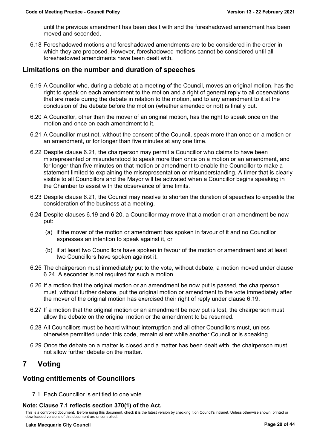until the previous amendment has been dealt with and the foreshadowed amendment has been moved and seconded.

6.18 Foreshadowed motions and foreshadowed amendments are to be considered in the order in which they are proposed. However, foreshadowed motions cannot be considered until all foreshadowed amendments have been dealt with.

## <span id="page-19-0"></span>**Limitations on the number and duration of speeches**

- 6.19 A Councillor who, during a debate at a meeting of the Council, moves an original motion, has the right to speak on each amendment to the motion and a right of general reply to all observations that are made during the debate in relation to the motion, and to any amendment to it at the conclusion of the debate before the motion (whether amended or not) is finally put.
- 6.20 A Councillor, other than the mover of an original motion, has the right to speak once on the motion and once on each amendment to it.
- 6.21 A Councillor must not, without the consent of the Council, speak more than once on a motion or an amendment, or for longer than five minutes at any one time.
- 6.22 Despite clause 6.21, the chairperson may permit a Councillor who claims to have been misrepresented or misunderstood to speak more than once on a motion or an amendment, and for longer than five minutes on that motion or amendment to enable the Councillor to make a statement limited to explaining the misrepresentation or misunderstanding. A timer that is clearly visible to all Councillors and the Mayor will be activated when a Councillor begins speaking in the Chamber to assist with the observance of time limits.
- 6.23 Despite clause 6.21, the Council may resolve to shorten the duration of speeches to expedite the consideration of the business at a meeting.
- 6.24 Despite clauses 6.19 and 6.20, a Councillor may move that a motion or an amendment be now put:
	- (a) if the mover of the motion or amendment has spoken in favour of it and no Councillor expresses an intention to speak against it, or
	- (b) if at least two Councillors have spoken in favour of the motion or amendment and at least two Councillors have spoken against it.
- 6.25 The chairperson must immediately put to the vote, without debate, a motion moved under clause 6.24. A seconder is not required for such a motion.
- 6.26 If a motion that the original motion or an amendment be now put is passed, the chairperson must, without further debate, put the original motion or amendment to the vote immediately after the mover of the original motion has exercised their right of reply under clause 6.19.
- 6.27 If a motion that the original motion or an amendment be now put is lost, the chairperson must allow the debate on the original motion or the amendment to be resumed.
- 6.28 All Councillors must be heard without interruption and all other Councillors must, unless otherwise permitted under this code, remain silent while another Councillor is speaking.
- 6.29 Once the debate on a matter is closed and a matter has been dealt with, the chairperson must not allow further debate on the matter.

## <span id="page-19-1"></span>**7 Voting**

#### <span id="page-19-2"></span>**Voting entitlements of Councillors**

7.1 Each Councillor is entitled to one vote.

#### **Note: Clause 7.1 reflects section 370(1) of the Act.**

This is a controlled document. Before using this document, check it is the latest version by checking it on Council's intranet. Unless otherwise shown, printed or downloaded versions of this document are uncontrolled.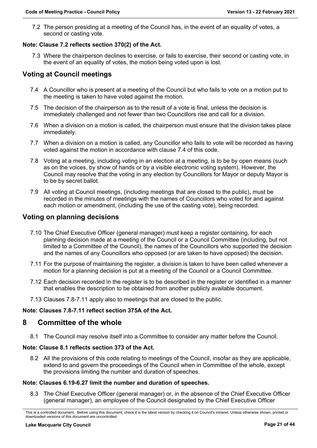7.2 The person presiding at a meeting of the Council has, in the event of an equality of votes, a second or casting vote.

#### **Note: Clause 7.2 reflects section 370(2) of the Act.**

7.3 Where the chairperson declines to exercise, or fails to exercise, their second or casting vote, in the event of an equality of votes, the motion being voted upon is lost.

## <span id="page-20-0"></span>**Voting at Council meetings**

- 7.4 A Councillor who is present at a meeting of the Council but who fails to vote on a motion put to the meeting is taken to have voted against the motion.
- 7.5 The decision of the chairperson as to the result of a vote is final, unless the decision is immediately challenged and not fewer than two Councillors rise and call for a division.
- 7.6 When a division on a motion is called, the chairperson must ensure that the division takes place immediately.
- 7.7 When a division on a motion is called, any Councillor who fails to vote will be recorded as having voted against the motion in accordance with clause 7.4 of this code.
- 7.8 Voting at a meeting, including voting in an election at a meeting, is to be by open means (such as on the voices, by show of hands or by a visible electronic voting system). However, the Council may resolve that the voting in any election by Councillors for Mayor or deputy Mayor is to be by secret ballot.
- 7.9 All voting at Council meetings, (including meetings that are closed to the public), must be recorded in the minutes of meetings with the names of Councillors who voted for and against each motion or amendment, (including the use of the casting vote), being recorded.

## <span id="page-20-1"></span>**Voting on planning decisions**

- 7.10 The Chief Executive Officer (general manager) must keep a register containing, for each planning decision made at a meeting of the Council or a Council Committee (including, but not limited to a Committee of the Council), the names of the Councillors who supported the decision and the names of any Councillors who opposed (or are taken to have opposed) the decision.
- 7.11 For the purpose of maintaining the register, a division is taken to have been called whenever a motion for a planning decision is put at a meeting of the Council or a Council Committee.
- 7.12 Each decision recorded in the register is to be described in the register or identified in a manner that enables the description to be obtained from another publicly available document.
- 7.13 Clauses 7.8-7.11 apply also to meetings that are closed to the public.

#### **Note: Clauses 7.8-7.11 reflect section 375A of the Act.**

## <span id="page-20-2"></span>**8 Committee of the whole**

8.1 The Council may resolve itself into a Committee to consider any matter before the Council.

#### **Note: Clause 8.1 reflects section 373 of the Act.**

8.2 All the provisions of this code relating to meetings of the Council, insofar as they are applicable, extend to and govern the proceedings of the Council when in Committee of the whole, except the provisions limiting the number and duration of speeches.

#### **Note: Clauses 6.19-6.27 limit the number and duration of speeches.**

8.3 The Chief Executive Officer (general manager) or, in the absence of the Chief Executive Officer (general manager), an employee of the Council designated by the Chief Executive Officer

This is a controlled document. Before using this document, check it is the latest version by checking it on Council's intranet. Unless otherwise shown, printed or downloaded versions of this document are uncontrolled.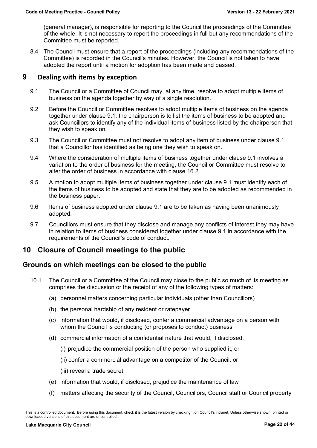(general manager), is responsible for reporting to the Council the proceedings of the Committee of the whole. It is not necessary to report the proceedings in full but any recommendations of the Committee must be reported.

8.4 The Council must ensure that a report of the proceedings (including any recommendations of the Committee) is recorded in the Council's minutes. However, the Council is not taken to have adopted the report until a motion for adoption has been made and passed.

## <span id="page-21-0"></span>**9 Dealing with items by exception**

- 9.1 The Council or a Committee of Council may, at any time, resolve to adopt multiple items of business on the agenda together by way of a single resolution.
- 9.2 Before the Council or Committee resolves to adopt multiple items of business on the agenda together under clause 9.1, the chairperson is to list the items of business to be adopted and ask Councillors to identify any of the individual items of business listed by the chairperson that they wish to speak on.
- 9.3 The Council or Committee must not resolve to adopt any item of business under clause 9.1 that a Councillor has identified as being one they wish to speak on.
- 9.4 Where the consideration of multiple items of business together under clause 9.1 involves a variation to the order of business for the meeting, the Council or Committee must resolve to alter the order of business in accordance with clause 16.2.
- 9.5 A motion to adopt multiple items of business together under clause 9.1 must identify each of the items of business to be adopted and state that they are to be adopted as recommended in the business paper.
- 9.6 Items of business adopted under clause 9.1 are to be taken as having been unanimously adopted.
- 9.7 Councillors must ensure that they disclose and manage any conflicts of interest they may have in relation to items of business considered together under clause 9.1 in accordance with the requirements of the Council's code of conduct.

## <span id="page-21-1"></span>**10 Closure of Council meetings to the public**

## <span id="page-21-2"></span>**Grounds on which meetings can be closed to the public**

- 10.1 The Council or a Committee of the Council may close to the public so much of its meeting as comprises the discussion or the receipt of any of the following types of matters:
	- (a) personnel matters concerning particular individuals (other than Councillors)
	- (b) the personal hardship of any resident or ratepayer
	- (c) information that would, if disclosed, confer a commercial advantage on a person with whom the Council is conducting (or proposes to conduct) business
	- (d) commercial information of a confidential nature that would, if disclosed:
		- (i) prejudice the commercial position of the person who supplied it, or
		- (ii) confer a commercial advantage on a competitor of the Council, or
		- (iii) reveal a trade secret
	- (e) information that would, if disclosed, prejudice the maintenance of law
	- (f) matters affecting the security of the Council, Councillors, Council staff or Council property

This is a controlled document. Before using this document, check it is the latest version by checking it on Council's intranet. Unless otherwise shown, printed or downloaded versions of this document are uncontrolled.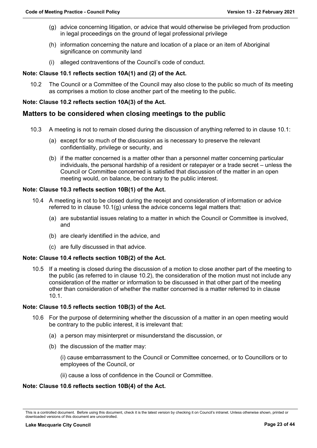- (g) advice concerning litigation, or advice that would otherwise be privileged from production in legal proceedings on the ground of legal professional privilege
- (h) information concerning the nature and location of a place or an item of Aboriginal significance on community land
- (i) alleged contraventions of the Council's code of conduct.

#### **Note: Clause 10.1 reflects section 10A(1) and (2) of the Act.**

10.2 The Council or a Committee of the Council may also close to the public so much of its meeting as comprises a motion to close another part of the meeting to the public.

#### **Note: Clause 10.2 reflects section 10A(3) of the Act.**

#### <span id="page-22-0"></span>**Matters to be considered when closing meetings to the public**

- 10.3 A meeting is not to remain closed during the discussion of anything referred to in clause 10.1:
	- (a) except for so much of the discussion as is necessary to preserve the relevant confidentiality, privilege or security, and
	- (b) if the matter concerned is a matter other than a personnel matter concerning particular individuals, the personal hardship of a resident or ratepayer or a trade secret – unless the Council or Committee concerned is satisfied that discussion of the matter in an open meeting would, on balance, be contrary to the public interest.

#### **Note: Clause 10.3 reflects section 10B(1) of the Act.**

- 10.4 A meeting is not to be closed during the receipt and consideration of information or advice referred to in clause 10.1(g) unless the advice concerns legal matters that:
	- (a) are substantial issues relating to a matter in which the Council or Committee is involved, and
	- (b) are clearly identified in the advice, and
	- (c) are fully discussed in that advice.

#### **Note: Clause 10.4 reflects section 10B(2) of the Act.**

10.5 If a meeting is closed during the discussion of a motion to close another part of the meeting to the public (as referred to in clause 10.2), the consideration of the motion must not include any consideration of the matter or information to be discussed in that other part of the meeting other than consideration of whether the matter concerned is a matter referred to in clause 10.1.

#### **Note: Clause 10.5 reflects section 10B(3) of the Act.**

- 10.6 For the purpose of determining whether the discussion of a matter in an open meeting would be contrary to the public interest, it is irrelevant that:
	- (a) a person may misinterpret or misunderstand the discussion, or
	- (b) the discussion of the matter may:

(i) cause embarrassment to the Council or Committee concerned, or to Councillors or to employees of the Council, or

(ii) cause a loss of confidence in the Council or Committee.

#### **Note: Clause 10.6 reflects section 10B(4) of the Act.**

This is a controlled document. Before using this document, check it is the latest version by checking it on Council's intranet. Unless otherwise shown, printed or downloaded versions of this document are uncontrolled.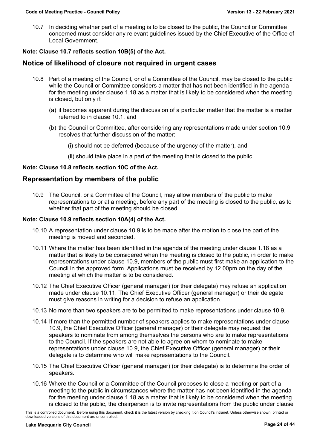10.7 In deciding whether part of a meeting is to be closed to the public, the Council or Committee concerned must consider any relevant guidelines issued by the Chief Executive of the Office of Local Government.

#### **Note: Clause 10.7 reflects section 10B(5) of the Act.**

## <span id="page-23-0"></span>**Notice of likelihood of closure not required in urgent cases**

- 10.8 Part of a meeting of the Council, or of a Committee of the Council, may be closed to the public while the Council or Committee considers a matter that has not been identified in the agenda for the meeting under clause 1.18 as a matter that is likely to be considered when the meeting is closed, but only if:
	- (a) it becomes apparent during the discussion of a particular matter that the matter is a matter referred to in clause 10.1, and
	- (b) the Council or Committee, after considering any representations made under section 10.9, resolves that further discussion of the matter:
		- (i) should not be deferred (because of the urgency of the matter), and
		- (ii) should take place in a part of the meeting that is closed to the public.

#### **Note: Clause 10.8 reflects section 10C of the Act.**

#### <span id="page-23-1"></span>**Representation by members of the public**

10.9 The Council, or a Committee of the Council, may allow members of the public to make representations to or at a meeting, before any part of the meeting is closed to the public, as to whether that part of the meeting should be closed.

#### **Note: Clause 10.9 reflects section 10A(4) of the Act.**

- 10.10 A representation under clause 10.9 is to be made after the motion to close the part of the meeting is moved and seconded.
- 10.11 Where the matter has been identified in the agenda of the meeting under clause 1.18 as a matter that is likely to be considered when the meeting is closed to the public, in order to make representations under clause 10.9, members of the public must first make an application to the Council in the approved form. Applications must be received by 12.00pm on the day of the meeting at which the matter is to be considered.
- 10.12 The Chief Executive Officer (general manager) (or their delegate) may refuse an application made under clause 10.11. The Chief Executive Officer (general manager) or their delegate must give reasons in writing for a decision to refuse an application.
- 10.13 No more than two speakers are to be permitted to make representations under clause 10.9.
- 10.14 If more than the permitted number of speakers applies to make representations under clause 10.9, the Chief Executive Officer (general manager) or their delegate may request the speakers to nominate from among themselves the persons who are to make representations to the Council. If the speakers are not able to agree on whom to nominate to make representations under clause 10.9, the Chief Executive Officer (general manager) or their delegate is to determine who will make representations to the Council.
- 10.15 The Chief Executive Officer (general manager) (or their delegate) is to determine the order of speakers.
- 10.16 Where the Council or a Committee of the Council proposes to close a meeting or part of a meeting to the public in circumstances where the matter has not been identified in the agenda for the meeting under clause 1.18 as a matter that is likely to be considered when the meeting is closed to the public, the chairperson is to invite representations from the public under clause

This is a controlled document. Before using this document, check it is the latest version by checking it on Council's intranet. Unless otherwise shown, printed or downloaded versions of this document are uncontrolled.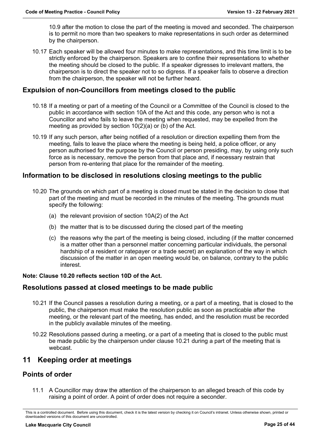10.9 after the motion to close the part of the meeting is moved and seconded. The chairperson is to permit no more than two speakers to make representations in such order as determined by the chairperson.

10.17 Each speaker will be allowed four minutes to make representations, and this time limit is to be strictly enforced by the chairperson. Speakers are to confine their representations to whether the meeting should be closed to the public. If a speaker digresses to irrelevant matters, the chairperson is to direct the speaker not to so digress. If a speaker fails to observe a direction from the chairperson, the speaker will not be further heard.

## <span id="page-24-0"></span>**Expulsion of non-Councillors from meetings closed to the public**

- 10.18 If a meeting or part of a meeting of the Council or a Committee of the Council is closed to the public in accordance with section 10A of the Act and this code, any person who is not a Councillor and who fails to leave the meeting when requested, may be expelled from the meeting as provided by section 10(2)(a) or (b) of the Act.
- 10.19 If any such person, after being notified of a resolution or direction expelling them from the meeting, fails to leave the place where the meeting is being held, a police officer, or any person authorised for the purpose by the Council or person presiding, may, by using only such force as is necessary, remove the person from that place and, if necessary restrain that person from re-entering that place for the remainder of the meeting.

#### <span id="page-24-1"></span>**Information to be disclosed in resolutions closing meetings to the public**

- 10.20 The grounds on which part of a meeting is closed must be stated in the decision to close that part of the meeting and must be recorded in the minutes of the meeting. The grounds must specify the following:
	- (a) the relevant provision of section 10A(2) of the Act
	- (b) the matter that is to be discussed during the closed part of the meeting
	- (c) the reasons why the part of the meeting is being closed, including (if the matter concerned is a matter other than a personnel matter concerning particular individuals, the personal hardship of a resident or ratepayer or a trade secret) an explanation of the way in which discussion of the matter in an open meeting would be, on balance, contrary to the public interest.

#### **Note: Clause 10.20 reflects section 10D of the Act.**

#### <span id="page-24-2"></span>**Resolutions passed at closed meetings to be made public**

- 10.21 If the Council passes a resolution during a meeting, or a part of a meeting, that is closed to the public, the chairperson must make the resolution public as soon as practicable after the meeting, or the relevant part of the meeting, has ended, and the resolution must be recorded in the publicly available minutes of the meeting.
- 10.22 Resolutions passed during a meeting, or a part of a meeting that is closed to the public must be made public by the chairperson under clause 10.21 during a part of the meeting that is webcast.

## <span id="page-24-3"></span>**11 Keeping order at meetings**

#### <span id="page-24-4"></span>**Points of order**

11.1 A Councillor may draw the attention of the chairperson to an alleged breach of this code by raising a point of order. A point of order does not require a seconder.

This is a controlled document. Before using this document, check it is the latest version by checking it on Council's intranet. Unless otherwise shown, printed or downloaded versions of this document are uncontrolled.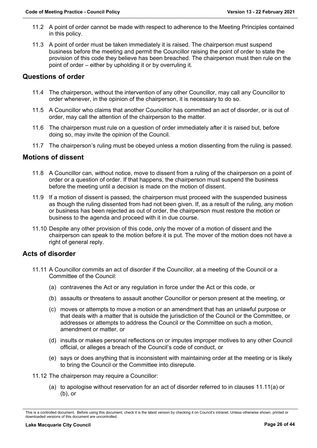- 11.2 A point of order cannot be made with respect to adherence to the Meeting Principles contained in this policy.
- 11.3 A point of order must be taken immediately it is raised. The chairperson must suspend business before the meeting and permit the Councillor raising the point of order to state the provision of this code they believe has been breached. The chairperson must then rule on the point of order – either by upholding it or by overruling it.

## <span id="page-25-0"></span>**Questions of order**

- 11.4 The chairperson, without the intervention of any other Councillor, may call any Councillor to order whenever, in the opinion of the chairperson, it is necessary to do so.
- 11.5 A Councillor who claims that another Councillor has committed an act of disorder, or is out of order, may call the attention of the chairperson to the matter.
- 11.6 The chairperson must rule on a question of order immediately after it is raised but, before doing so, may invite the opinion of the Council.
- 11.7 The chairperson's ruling must be obeyed unless a motion dissenting from the ruling is passed.

## <span id="page-25-1"></span>**Motions of dissent**

- 11.8 A Councillor can, without notice, move to dissent from a ruling of the chairperson on a point of order or a question of order. If that happens, the chairperson must suspend the business before the meeting until a decision is made on the motion of dissent.
- 11.9 If a motion of dissent is passed, the chairperson must proceed with the suspended business as though the ruling dissented from had not been given. If, as a result of the ruling, any motion or business has been rejected as out of order, the chairperson must restore the motion or business to the agenda and proceed with it in due course.
- 11.10 Despite any other provision of this code, only the mover of a motion of dissent and the chairperson can speak to the motion before it is put. The mover of the motion does not have a right of general reply.

## <span id="page-25-2"></span>**Acts of disorder**

- 11.11 A Councillor commits an act of disorder if the Councillor, at a meeting of the Council or a Committee of the Council:
	- (a) contravenes the Act or any regulation in force under the Act or this code, or
	- (b) assaults or threatens to assault another Councillor or person present at the meeting, or
	- (c) moves or attempts to move a motion or an amendment that has an unlawful purpose or that deals with a matter that is outside the jurisdiction of the Council or the Committee, or addresses or attempts to address the Council or the Committee on such a motion, amendment or matter, or
	- (d) insults or makes personal reflections on or imputes improper motives to any other Council official, or alleges a breach of the Council's code of conduct, or
	- (e) says or does anything that is inconsistent with maintaining order at the meeting or is likely to bring the Council or the Committee into disrepute.
- 11.12 The chairperson may require a Councillor:
	- (a) to apologise without reservation for an act of disorder referred to in clauses 11.11(a) or (b), or

This is a controlled document. Before using this document, check it is the latest version by checking it on Council's intranet. Unless otherwise shown, printed or downloaded versions of this document are uncontrolled.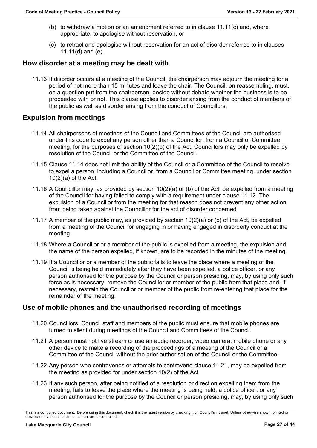- (b) to withdraw a motion or an amendment referred to in clause  $11.11(c)$  and, where appropriate, to apologise without reservation, or
- (c) to retract and apologise without reservation for an act of disorder referred to in clauses 11.11(d) and (e).

## <span id="page-26-0"></span>**How disorder at a meeting may be dealt with**

11.13 If disorder occurs at a meeting of the Council, the chairperson may adjourn the meeting for a period of not more than 15 minutes and leave the chair. The Council, on reassembling, must, on a question put from the chairperson, decide without debate whether the business is to be proceeded with or not. This clause applies to disorder arising from the conduct of members of the public as well as disorder arising from the conduct of Councillors.

## <span id="page-26-1"></span>**Expulsion from meetings**

- 11.14 All chairpersons of meetings of the Council and Committees of the Council are authorised under this code to expel any person other than a Councillor, from a Council or Committee meeting, for the purposes of section 10(2)(b) of the Act. Councillors may only be expelled by resolution of the Council or the Committee of the Council.
- 11.15 Clause 11.14 does not limit the ability of the Council or a Committee of the Council to resolve to expel a person, including a Councillor, from a Council or Committee meeting, under section 10(2)(a) of the Act.
- 11.16 A Councillor may, as provided by section 10(2)(a) or (b) of the Act, be expelled from a meeting of the Council for having failed to comply with a requirement under clause 11.12. The expulsion of a Councillor from the meeting for that reason does not prevent any other action from being taken against the Councillor for the act of disorder concerned.
- 11.17 A member of the public may, as provided by section 10(2)(a) or (b) of the Act, be expelled from a meeting of the Council for engaging in or having engaged in disorderly conduct at the meeting.
- 11.18 Where a Councillor or a member of the public is expelled from a meeting, the expulsion and the name of the person expelled, if known, are to be recorded in the minutes of the meeting.
- 11.19 If a Councillor or a member of the public fails to leave the place where a meeting of the Council is being held immediately after they have been expelled, a police officer, or any person authorised for the purpose by the Council or person presiding, may, by using only such force as is necessary, remove the Councillor or member of the public from that place and, if necessary, restrain the Councillor or member of the public from re-entering that place for the remainder of the meeting.

#### <span id="page-26-2"></span>**Use of mobile phones and the unauthorised recording of meetings**

- 11.20 Councillors, Council staff and members of the public must ensure that mobile phones are turned to silent during meetings of the Council and Committees of the Council.
- 11.21 A person must not live stream or use an audio recorder, video camera, mobile phone or any other device to make a recording of the proceedings of a meeting of the Council or a Committee of the Council without the prior authorisation of the Council or the Committee.
- 11.22 Any person who contravenes or attempts to contravene clause 11.21, may be expelled from the meeting as provided for under section 10(2) of the Act.
- 11.23 If any such person, after being notified of a resolution or direction expelling them from the meeting, fails to leave the place where the meeting is being held, a police officer, or any person authorised for the purpose by the Council or person presiding, may, by using only such

This is a controlled document. Before using this document, check it is the latest version by checking it on Council's intranet. Unless otherwise shown, printed or downloaded versions of this document are uncontrolled.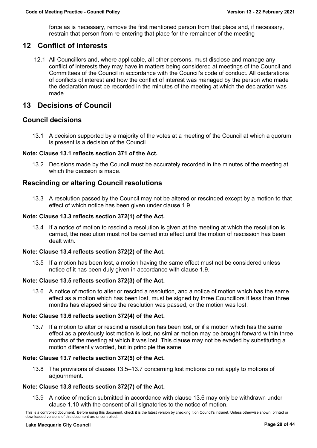force as is necessary, remove the first mentioned person from that place and, if necessary, restrain that person from re-entering that place for the remainder of the meeting

## <span id="page-27-0"></span>**12 Conflict of interests**

12.1 All Councillors and, where applicable, all other persons, must disclose and manage any conflict of interests they may have in matters being considered at meetings of the Council and Committees of the Council in accordance with the Council's code of conduct. All declarations of conflicts of interest and how the conflict of interest was managed by the person who made the declaration must be recorded in the minutes of the meeting at which the declaration was made.

## <span id="page-27-1"></span>**13 Decisions of Council**

#### <span id="page-27-2"></span>**Council decisions**

13.1 A decision supported by a majority of the votes at a meeting of the Council at which a quorum is present is a decision of the Council.

#### **Note: Clause 13.1 reflects section 371 of the Act.**

13.2 Decisions made by the Council must be accurately recorded in the minutes of the meeting at which the decision is made.

## <span id="page-27-3"></span>**Rescinding or altering Council resolutions**

13.3 A resolution passed by the Council may not be altered or rescinded except by a motion to that effect of which notice has been given under clause 1.9.

#### **Note: Clause 13.3 reflects section 372(1) of the Act.**

13.4 If a notice of motion to rescind a resolution is given at the meeting at which the resolution is carried, the resolution must not be carried into effect until the motion of rescission has been dealt with.

#### **Note: Clause 13.4 reflects section 372(2) of the Act.**

13.5 If a motion has been lost, a motion having the same effect must not be considered unless notice of it has been duly given in accordance with clause 1.9.

#### **Note: Clause 13.5 reflects section 372(3) of the Act.**

13.6 A notice of motion to alter or rescind a resolution, and a notice of motion which has the same effect as a motion which has been lost, must be signed by three Councillors if less than three months has elapsed since the resolution was passed, or the motion was lost.

#### **Note: Clause 13.6 reflects section 372(4) of the Act.**

13.7 If a motion to alter or rescind a resolution has been lost, or if a motion which has the same effect as a previously lost motion is lost, no similar motion may be brought forward within three months of the meeting at which it was lost. This clause may not be evaded by substituting a motion differently worded, but in principle the same.

#### **Note: Clause 13.7 reflects section 372(5) of the Act.**

13.8 The provisions of clauses 13.5–13.7 concerning lost motions do not apply to motions of adjournment.

#### **Note: Clause 13.8 reflects section 372(7) of the Act.**

13.9 A notice of motion submitted in accordance with clause 13.6 may only be withdrawn under clause 1.10 with the consent of all signatories to the notice of motion.

This is a controlled document. Before using this document, check it is the latest version by checking it on Council's intranet. Unless otherwise shown, printed or downloaded versions of this document are uncontrolled.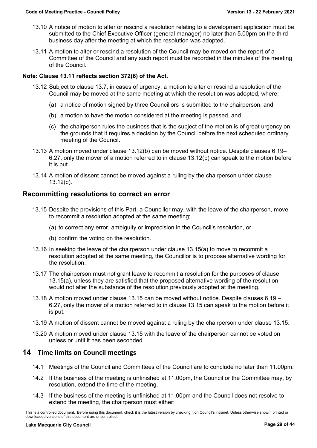- 13.10 A notice of motion to alter or rescind a resolution relating to a development application must be submitted to the Chief Executive Officer (general manager) no later than 5.00pm on the third business day after the meeting at which the resolution was adopted.
- 13.11 A motion to alter or rescind a resolution of the Council may be moved on the report of a Committee of the Council and any such report must be recorded in the minutes of the meeting of the Council.

#### **Note: Clause 13.11 reflects section 372(6) of the Act.**

- 13.12 Subject to clause 13.7, in cases of urgency, a motion to alter or rescind a resolution of the Council may be moved at the same meeting at which the resolution was adopted, where:
	- (a) a notice of motion signed by three Councillors is submitted to the chairperson, and
	- (b) a motion to have the motion considered at the meeting is passed, and
	- (c) the chairperson rules the business that is the subject of the motion is of great urgency on the grounds that it requires a decision by the Council before the next scheduled ordinary meeting of the Council.
- 13.13 A motion moved under clause 13.12(b) can be moved without notice. Despite clauses 6.19– 6.27, only the mover of a motion referred to in clause 13.12(b) can speak to the motion before it is put.
- 13.14 A motion of dissent cannot be moved against a ruling by the chairperson under clause 13.12(c).

#### <span id="page-28-0"></span>**Recommitting resolutions to correct an error**

- 13.15 Despite the provisions of this Part, a Councillor may, with the leave of the chairperson, move to recommit a resolution adopted at the same meeting;
	- (a) to correct any error, ambiguity or imprecision in the Council's resolution, or
	- (b) confirm the voting on the resolution.
- 13.16 In seeking the leave of the chairperson under clause 13.15(a) to move to recommit a resolution adopted at the same meeting, the Councillor is to propose alternative wording for the resolution.
- 13.17 The chairperson must not grant leave to recommit a resolution for the purposes of clause 13.15(a), unless they are satisfied that the proposed alternative wording of the resolution would not alter the substance of the resolution previously adopted at the meeting.
- 13.18 A motion moved under clause 13.15 can be moved without notice. Despite clauses 6.19 6.27, only the mover of a motion referred to in clause 13.15 can speak to the motion before it is put.
- 13.19 A motion of dissent cannot be moved against a ruling by the chairperson under clause 13.15.
- 13.20 A motion moved under clause 13.15 with the leave of the chairperson cannot be voted on unless or until it has been seconded.

#### <span id="page-28-1"></span>**14 Time limits on Council meetings**

- 14.1 Meetings of the Council and Committees of the Council are to conclude no later than 11.00pm.
- 14.2 If the business of the meeting is unfinished at 11.00pm, the Council or the Committee may, by resolution, extend the time of the meeting.
- 14.3 If the business of the meeting is unfinished at 11.00pm and the Council does not resolve to extend the meeting, the chairperson must either:

This is a controlled document. Before using this document, check it is the latest version by checking it on Council's intranet. Unless otherwise shown, printed or downloaded versions of this document are uncontrolled.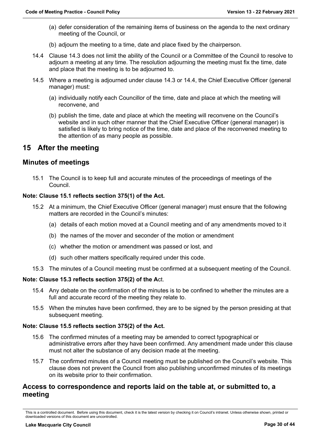- (a) defer consideration of the remaining items of business on the agenda to the next ordinary meeting of the Council, or
- (b) adjourn the meeting to a time, date and place fixed by the chairperson.
- 14.4 Clause 14.3 does not limit the ability of the Council or a Committee of the Council to resolve to adjourn a meeting at any time. The resolution adjourning the meeting must fix the time, date and place that the meeting is to be adjourned to.
- 14.5 Where a meeting is adjourned under clause 14.3 or 14.4, the Chief Executive Officer (general manager) must:
	- (a) individually notify each Councillor of the time, date and place at which the meeting will reconvene, and
	- (b) publish the time, date and place at which the meeting will reconvene on the Council's website and in such other manner that the Chief Executive Officer (general manager) is satisfied is likely to bring notice of the time, date and place of the reconvened meeting to the attention of as many people as possible.

## <span id="page-29-0"></span>**15 After the meeting**

## <span id="page-29-1"></span>**Minutes of meetings**

15.1 The Council is to keep full and accurate minutes of the proceedings of meetings of the Council.

#### **Note: Clause 15.1 reflects section 375(1) of the Act.**

- 15.2 At a minimum, the Chief Executive Officer (general manager) must ensure that the following matters are recorded in the Council's minutes:
	- (a) details of each motion moved at a Council meeting and of any amendments moved to it
	- (b) the names of the mover and seconder of the motion or amendment
	- (c) whether the motion or amendment was passed or lost, and
	- (d) such other matters specifically required under this code.
- 15.3 The minutes of a Council meeting must be confirmed at a subsequent meeting of the Council.

#### **Note: Clause 15.3 reflects section 375(2) of the A**ct.

- 15.4 Any debate on the confirmation of the minutes is to be confined to whether the minutes are a full and accurate record of the meeting they relate to.
- 15.5 When the minutes have been confirmed, they are to be signed by the person presiding at that subsequent meeting.

#### **Note: Clause 15.5 reflects section 375(2) of the Act.**

- 15.6 The confirmed minutes of a meeting may be amended to correct typographical or administrative errors after they have been confirmed. Any amendment made under this clause must not alter the substance of any decision made at the meeting.
- 15.7 The confirmed minutes of a Council meeting must be published on the Council's website. This clause does not prevent the Council from also publishing unconfirmed minutes of its meetings on its website prior to their confirmation.

## <span id="page-29-2"></span>**Access to correspondence and reports laid on the table at, or submitted to, a meeting**

This is a controlled document. Before using this document, check it is the latest version by checking it on Council's intranet. Unless otherwise shown, printed or downloaded versions of this document are uncontrolled.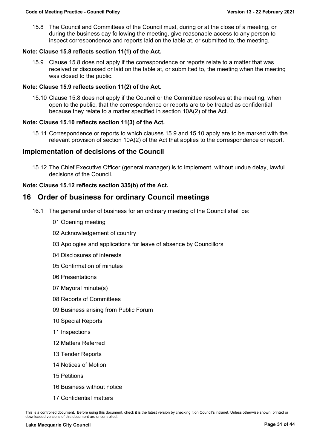15.8 The Council and Committees of the Council must, during or at the close of a meeting, or during the business day following the meeting, give reasonable access to any person to inspect correspondence and reports laid on the table at, or submitted to, the meeting.

#### **Note: Clause 15.8 reflects section 11(1) of the Act.**

15.9 Clause 15.8 does not apply if the correspondence or reports relate to a matter that was received or discussed or laid on the table at, or submitted to, the meeting when the meeting was closed to the public.

#### **Note: Clause 15.9 reflects section 11(2) of the Act.**

15.10 Clause 15.8 does not apply if the Council or the Committee resolves at the meeting, when open to the public, that the correspondence or reports are to be treated as confidential because they relate to a matter specified in section 10A(2) of the Act.

#### **Note: Clause 15.10 reflects section 11(3) of the Act.**

15.11 Correspondence or reports to which clauses 15.9 and 15.10 apply are to be marked with the relevant provision of section 10A(2) of the Act that applies to the correspondence or report.

#### <span id="page-30-0"></span>**Implementation of decisions of the Council**

15.12 The Chief Executive Officer (general manager) is to implement, without undue delay, lawful decisions of the Council.

#### **Note: Clause 15.12 reflects section 335(b) of the Act.**

## <span id="page-30-1"></span>**16 Order of business for ordinary Council meetings**

- 16.1 The general order of business for an ordinary meeting of the Council shall be:
	- 01 Opening meeting
	- 02 Acknowledgement of country
	- 03 Apologies and applications for leave of absence by Councillors
	- 04 Disclosures of interests
	- 05 Confirmation of minutes
	- 06 Presentations
	- 07 Mayoral minute(s)
	- 08 Reports of Committees
	- 09 Business arising from Public Forum
	- 10 Special Reports
	- 11 Inspections
	- 12 Matters Referred
	- 13 Tender Reports
	- 14 Notices of Motion
	- 15 Petitions
	- 16 Business without notice
	- 17 Confidential matters

This is a controlled document. Before using this document, check it is the latest version by checking it on Council's intranet. Unless otherwise shown, printed or downloaded versions of this document are uncontrolled.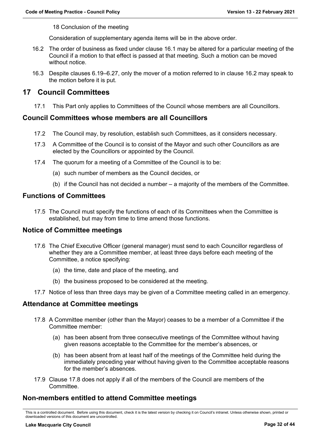18 Conclusion of the meeting

Consideration of supplementary agenda items will be in the above order.

- 16.2 The order of business as fixed under clause 16.1 may be altered for a particular meeting of the Council if a motion to that effect is passed at that meeting. Such a motion can be moved without notice.
- 16.3 Despite clauses 6.19–6.27, only the mover of a motion referred to in clause 16.2 may speak to the motion before it is put.

## <span id="page-31-0"></span>**17 Council Committees**

17.1 This Part only applies to Committees of the Council whose members are all Councillors.

#### <span id="page-31-1"></span>**Council Committees whose members are all Councillors**

- 17.2 The Council may, by resolution, establish such Committees, as it considers necessary.
- 17.3 A Committee of the Council is to consist of the Mayor and such other Councillors as are elected by the Councillors or appointed by the Council.
- 17.4 The quorum for a meeting of a Committee of the Council is to be:
	- (a) such number of members as the Council decides, or
	- (b) if the Council has not decided a number a majority of the members of the Committee.

#### <span id="page-31-2"></span>**Functions of Committees**

17.5 The Council must specify the functions of each of its Committees when the Committee is established, but may from time to time amend those functions.

#### <span id="page-31-3"></span>**Notice of Committee meetings**

- 17.6 The Chief Executive Officer (general manager) must send to each Councillor regardless of whether they are a Committee member, at least three days before each meeting of the Committee, a notice specifying:
	- (a) the time, date and place of the meeting, and
	- (b) the business proposed to be considered at the meeting.
- 17.7 Notice of less than three days may be given of a Committee meeting called in an emergency.

#### <span id="page-31-4"></span>**Attendance at Committee meetings**

- 17.8 A Committee member (other than the Mayor) ceases to be a member of a Committee if the Committee member:
	- (a) has been absent from three consecutive meetings of the Committee without having given reasons acceptable to the Committee for the member's absences, or
	- (b) has been absent from at least half of the meetings of the Committee held during the immediately preceding year without having given to the Committee acceptable reasons for the member's absences.
- 17.9 Clause 17.8 does not apply if all of the members of the Council are members of the Committee.

## <span id="page-31-5"></span>**Non-members entitled to attend Committee meetings**

This is a controlled document. Before using this document, check it is the latest version by checking it on Council's intranet. Unless otherwise shown, printed or downloaded versions of this document are uncontrolled.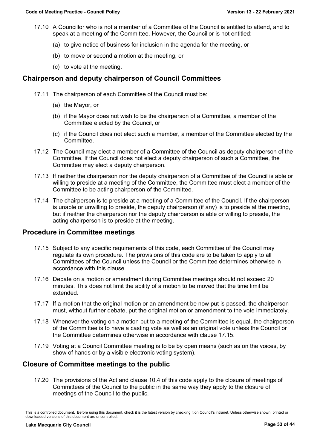- 17.10 A Councillor who is not a member of a Committee of the Council is entitled to attend, and to speak at a meeting of the Committee. However, the Councillor is not entitled:
	- (a) to give notice of business for inclusion in the agenda for the meeting, or
	- (b) to move or second a motion at the meeting, or
	- (c) to vote at the meeting.

## <span id="page-32-0"></span>**Chairperson and deputy chairperson of Council Committees**

- 17.11 The chairperson of each Committee of the Council must be:
	- (a) the Mayor, or
	- (b) if the Mayor does not wish to be the chairperson of a Committee, a member of the Committee elected by the Council, or
	- (c) if the Council does not elect such a member, a member of the Committee elected by the Committee.
- 17.12 The Council may elect a member of a Committee of the Council as deputy chairperson of the Committee. If the Council does not elect a deputy chairperson of such a Committee, the Committee may elect a deputy chairperson.
- 17.13 If neither the chairperson nor the deputy chairperson of a Committee of the Council is able or willing to preside at a meeting of the Committee, the Committee must elect a member of the Committee to be acting chairperson of the Committee.
- 17.14 The chairperson is to preside at a meeting of a Committee of the Council. If the chairperson is unable or unwilling to preside, the deputy chairperson (if any) is to preside at the meeting, but if neither the chairperson nor the deputy chairperson is able or willing to preside, the acting chairperson is to preside at the meeting.

## <span id="page-32-1"></span>**Procedure in Committee meetings**

- 17.15 Subject to any specific requirements of this code, each Committee of the Council may regulate its own procedure. The provisions of this code are to be taken to apply to all Committees of the Council unless the Council or the Committee determines otherwise in accordance with this clause.
- 17.16 Debate on a motion or amendment during Committee meetings should not exceed 20 minutes. This does not limit the ability of a motion to be moved that the time limit be extended.
- 17.17 If a motion that the original motion or an amendment be now put is passed, the chairperson must, without further debate, put the original motion or amendment to the vote immediately.
- 17.18 Whenever the voting on a motion put to a meeting of the Committee is equal, the chairperson of the Committee is to have a casting vote as well as an original vote unless the Council or the Committee determines otherwise in accordance with clause 17.15.
- 17.19 Voting at a Council Committee meeting is to be by open means (such as on the voices, by show of hands or by a visible electronic voting system).

## <span id="page-32-2"></span>**Closure of Committee meetings to the public**

17.20 The provisions of the Act and clause 10.4 of this code apply to the closure of meetings of Committees of the Council to the public in the same way they apply to the closure of meetings of the Council to the public.

This is a controlled document. Before using this document, check it is the latest version by checking it on Council's intranet. Unless otherwise shown, printed or downloaded versions of this document are uncontrolled.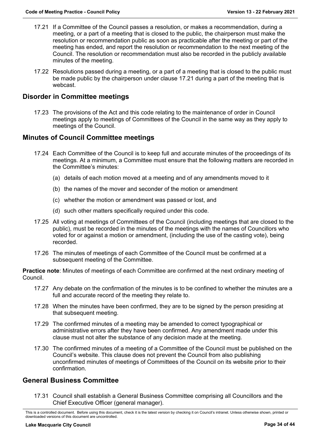- 17.21 If a Committee of the Council passes a resolution, or makes a recommendation, during a meeting, or a part of a meeting that is closed to the public, the chairperson must make the resolution or recommendation public as soon as practicable after the meeting or part of the meeting has ended, and report the resolution or recommendation to the next meeting of the Council. The resolution or recommendation must also be recorded in the publicly available minutes of the meeting.
- 17.22 Resolutions passed during a meeting, or a part of a meeting that is closed to the public must be made public by the chairperson under clause 17.21 during a part of the meeting that is webcast.

## <span id="page-33-0"></span>**Disorder in Committee meetings**

17.23 The provisions of the Act and this code relating to the maintenance of order in Council meetings apply to meetings of Committees of the Council in the same way as they apply to meetings of the Council.

## <span id="page-33-1"></span>**Minutes of Council Committee meetings**

- 17.24 Each Committee of the Council is to keep full and accurate minutes of the proceedings of its meetings. At a minimum, a Committee must ensure that the following matters are recorded in the Committee's minutes:
	- (a) details of each motion moved at a meeting and of any amendments moved to it
	- (b) the names of the mover and seconder of the motion or amendment
	- (c) whether the motion or amendment was passed or lost, and
	- (d) such other matters specifically required under this code.
- 17.25 All voting at meetings of Committees of the Council (including meetings that are closed to the public), must be recorded in the minutes of the meetings with the names of Councillors who voted for or against a motion or amendment, (including the use of the casting vote), being recorded.
- 17.26 The minutes of meetings of each Committee of the Council must be confirmed at a subsequent meeting of the Committee.

**Practice note**: Minutes of meetings of each Committee are confirmed at the next ordinary meeting of Council.

- 17.27 Any debate on the confirmation of the minutes is to be confined to whether the minutes are a full and accurate record of the meeting they relate to.
- 17.28 When the minutes have been confirmed, they are to be signed by the person presiding at that subsequent meeting.
- 17.29 The confirmed minutes of a meeting may be amended to correct typographical or administrative errors after they have been confirmed. Any amendment made under this clause must not alter the substance of any decision made at the meeting.
- 17.30 The confirmed minutes of a meeting of a Committee of the Council must be published on the Council's website. This clause does not prevent the Council from also publishing unconfirmed minutes of meetings of Committees of the Council on its website prior to their confirmation.

## <span id="page-33-2"></span>**General Business Committee**

17.31 Council shall establish a General Business Committee comprising all Councillors and the Chief Executive Officer (general manager).

This is a controlled document. Before using this document, check it is the latest version by checking it on Council's intranet. Unless otherwise shown, printed or downloaded versions of this document are uncontrolled.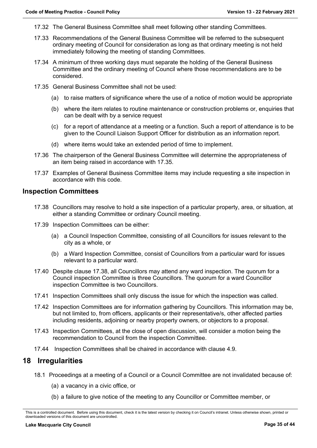- 17.32 The General Business Committee shall meet following other standing Committees.
- 17.33 Recommendations of the General Business Committee will be referred to the subsequent ordinary meeting of Council for consideration as long as that ordinary meeting is not held immediately following the meeting of standing Committees.
- 17.34 A minimum of three working days must separate the holding of the General Business Committee and the ordinary meeting of Council where those recommendations are to be considered.
- 17.35 General Business Committee shall not be used:
	- (a) to raise matters of significance where the use of a notice of motion would be appropriate
	- (b) where the item relates to routine maintenance or construction problems or, enquiries that can be dealt with by a service request
	- (c) for a report of attendance at a meeting or a function. Such a report of attendance is to be given to the Council Liaison Support Officer for distribution as an information report.
	- (d) where items would take an extended period of time to implement.
- 17.36 The chairperson of the General Business Committee will determine the appropriateness of an item being raised in accordance with 17.35.
- 17.37 Examples of General Business Committee items may include requesting a site inspection in accordance with this code.

#### <span id="page-34-0"></span>**Inspection Committees**

- 17.38 Councillors may resolve to hold a site inspection of a particular property, area, or situation, at either a standing Committee or ordinary Council meeting.
- 17.39 Inspection Committees can be either:
	- (a) a Council Inspection Committee, consisting of all Councillors for issues relevant to the city as a whole, or
	- (b) a Ward Inspection Committee, consist of Councillors from a particular ward for issues relevant to a particular ward.
- 17.40 Despite clause 17.38, all Councillors may attend any ward inspection. The quorum for a Council inspection Committee is three Councillors. The quorum for a ward Councillor inspection Committee is two Councillors.
- 17.41 Inspection Committees shall only discuss the issue for which the inspection was called.
- 17.42 Inspection Committees are for information gathering by Councillors. This information may be, but not limited to, from officers, applicants or their representative/s, other affected parties including residents, adjoining or nearby property owners, or objectors to a proposal.
- 17.43 Inspection Committees, at the close of open discussion, will consider a motion being the recommendation to Council from the inspection Committee.
- 17.44 Inspection Committees shall be chaired in accordance with clause 4.9.

## <span id="page-34-1"></span>**18 Irregularities**

- 18.1 Proceedings at a meeting of a Council or a Council Committee are not invalidated because of:
	- (a) a vacancy in a civic office, or
	- (b) a failure to give notice of the meeting to any Councillor or Committee member, or

This is a controlled document. Before using this document, check it is the latest version by checking it on Council's intranet. Unless otherwise shown, printed or downloaded versions of this document are uncontrolled.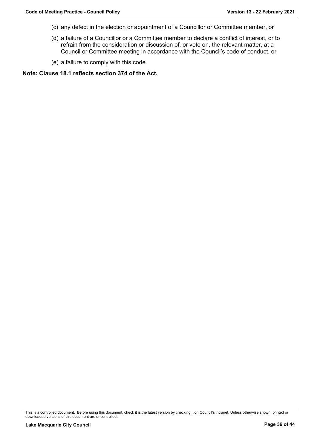- (c) any defect in the election or appointment of a Councillor or Committee member, or
- (d) a failure of a Councillor or a Committee member to declare a conflict of interest, or to refrain from the consideration or discussion of, or vote on, the relevant matter, at a Council or Committee meeting in accordance with the Council's code of conduct, or
- (e) a failure to comply with this code.

**Note: Clause 18.1 reflects section 374 of the Act.**

This is a controlled document. Before using this document, check it is the latest version by checking it on Council's intranet. Unless otherwise shown, printed or downloaded versions of this document are uncontrolled.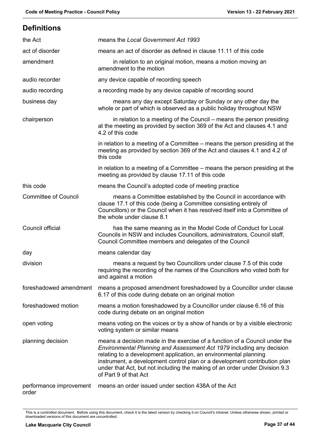<span id="page-36-0"></span>**Definitions**

## the Act means the *Local Government Act 1993* act of disorder means an act of disorder as defined in clause 11.11 of this code amendment in relation to an original motion, means a motion moving an amendment to the motion audio recorder any device capable of recording speech audio recording a recording made by any device capable of recording sound business day means any day except Saturday or Sunday or any other day the whole or part of which is observed as a public holiday throughout NSW chairperson in relation to a meeting of the Council – means the person presiding at the meeting as provided by section 369 of the Act and clauses 4.1 and 4.2 of this code in relation to a meeting of a Committee – means the person presiding at the meeting as provided by section 369 of the Act and clauses 4.1 and 4.2 of this code in relation to a meeting of a Committee – means the person presiding at the meeting as provided by clause 17.11 of this code this code means the Council's adopted code of meeting practice Committee of Council means a Committee established by the Council in accordance with clause 17.1 of this code (being a Committee consisting entirely of Councillors) or the Council when it has resolved itself into a Committee of the whole under clause 8.1 Council official has the same meaning as in the Model Code of Conduct for Local Councils in NSW and includes Councillors, administrators, Council staff, Council Committee members and delegates of the Council day **means** calendar day division means a request by two Councillors under clause 7.5 of this code requiring the recording of the names of the Councillors who voted both for and against a motion foreshadowed amendment means a proposed amendment foreshadowed by a Councillor under clause 6.17 of this code during debate on an original motion foreshadowed motion means a motion foreshadowed by a Councillor under clause 6.16 of this code during debate on an original motion open voting means voting on the voices or by a show of hands or by a visible electronic voting system or similar means planning decision means a decision made in the exercise of a function of a Council under the *Environmental Planning and Assessment Act 1979* including any decision relating to a development application, an environmental planning instrument, a development control plan or a development contribution plan under that Act, but not including the making of an order under Division 9.3 of Part 9 of that Act performance improvement means an order issued under section 438A of the Act order

This is a controlled document. Before using this document, check it is the latest version by checking it on Council's intranet. Unless otherwise shown, printed or downloaded versions of this document are uncontrolled.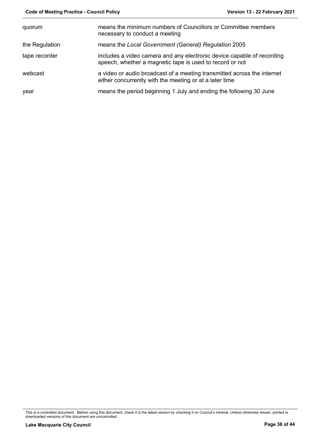| quorum         | means the minimum numbers of Councillors or Committee members<br>necessary to conduct a meeting                                    |
|----------------|------------------------------------------------------------------------------------------------------------------------------------|
| the Regulation | means the Local Government (General) Regulation 2005                                                                               |
| tape recorder  | includes a video camera and any electronic device capable of recording<br>speech, whether a magnetic tape is used to record or not |
| webcast        | a video or audio broadcast of a meeting transmitted across the internet<br>either concurrently with the meeting or at a later time |
| year           | means the period beginning 1 July and ending the following 30 June                                                                 |

This is a controlled document. Before using this document, check it is the latest version by checking it on Council's intranet. Unless otherwise shown, printed or downloaded versions of this document are uncontrolled.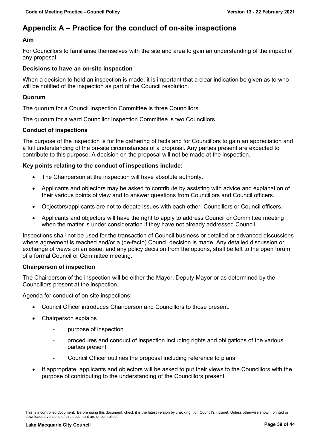## <span id="page-38-0"></span>**Appendix A – Practice for the conduct of on-site inspections**

#### **Aim**

For Councillors to familiarise themselves with the site and area to gain an understanding of the impact of any proposal.

#### **Decisions to have an on-site inspection**

When a decision to hold an inspection is made, it is important that a clear indication be given as to who will be notified of the inspection as part of the Council resolution.

#### **Quorum**

The quorum for a Council Inspection Committee is three Councillors.

The quorum for a ward Councillor Inspection Committee is two Councillors.

#### **Conduct of inspections**

The purpose of the inspection is for the gathering of facts and for Councillors to gain an appreciation and a full understanding of the on-site circumstances of a proposal. Any parties present are expected to contribute to this purpose. A decision on the proposal will not be made at the inspection.

#### **Key points relating to the conduct of inspections include:**

- The Chairperson at the inspection will have absolute authority.
- Applicants and objectors may be asked to contribute by assisting with advice and explanation of their various points of view and to answer questions from Councillors and Council officers.
- Objectors/applicants are not to debate issues with each other, Councillors or Council officers.
- Applicants and objectors will have the right to apply to address Council or Committee meeting when the matter is under consideration if they have not already addressed Council.

Inspections shall not be used for the transaction of Council business or detailed or advanced discussions where agreement is reached and/or a (de-facto) Council decision is made. Any detailed discussion or exchange of views on an issue, and any policy decision from the options, shall be left to the open forum of a formal Council or Committee meeting.

#### **Chairperson of inspection**

The Chairperson of the inspection will be either the Mayor, Deputy Mayor or as determined by the Councillors present at the inspection.

Agenda for conduct of on-site inspections:

- Council Officer introduces Chairperson and Councillors to those present.
- Chairperson explains
	- purpose of inspection
	- procedures and conduct of inspection including rights and obligations of the various parties present
	- Council Officer outlines the proposal including reference to plans
- If appropriate, applicants and objectors will be asked to put their views to the Councillors with the purpose of contributing to the understanding of the Councillors present.

This is a controlled document. Before using this document, check it is the latest version by checking it on Council's intranet. Unless otherwise shown, printed or downloaded versions of this document are uncontrolled.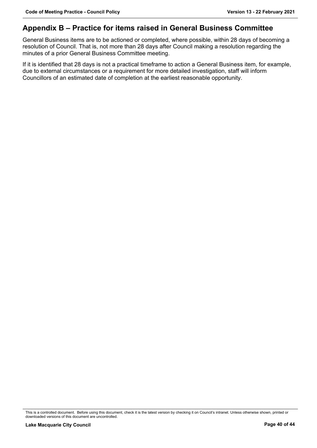## <span id="page-39-0"></span>**Appendix B – Practice for items raised in General Business Committee**

General Business items are to be actioned or completed, where possible, within 28 days of becoming a resolution of Council. That is, not more than 28 days after Council making a resolution regarding the minutes of a prior General Business Committee meeting.

If it is identified that 28 days is not a practical timeframe to action a General Business item, for example, due to external circumstances or a requirement for more detailed investigation, staff will inform Councillors of an estimated date of completion at the earliest reasonable opportunity.

This is a controlled document. Before using this document, check it is the latest version by checking it on Council's intranet. Unless otherwise shown, printed or downloaded versions of this document are uncontrolled.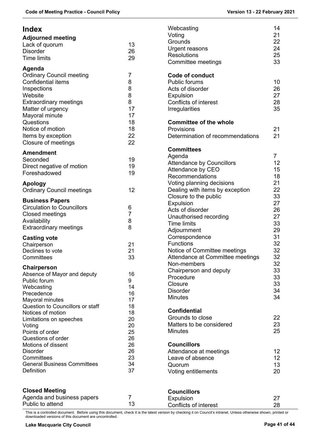<span id="page-40-0"></span>

| <b>Index</b><br><b>Adjourned meeting</b><br>Lack of quorum<br><b>Disorder</b><br><b>Time limits</b>                                                                                   | 13<br>26<br>29                                       | Webcasting<br>Voting<br>Grounds<br>Urgent reasons<br><b>Resolutions</b><br>Committee meetings                                                                      | 14<br>21<br>22<br>24<br>25<br>33    |
|---------------------------------------------------------------------------------------------------------------------------------------------------------------------------------------|------------------------------------------------------|--------------------------------------------------------------------------------------------------------------------------------------------------------------------|-------------------------------------|
| Agenda<br><b>Ordinary Council meeting</b><br><b>Confidential items</b><br>Inspections<br>Website<br><b>Extraordinary meetings</b><br>Matter of urgency<br>Mayoral minute<br>Questions | $\overline{7}$<br>8<br>8<br>8<br>8<br>17<br>17<br>18 | <b>Code of conduct</b><br><b>Public forums</b><br>Acts of disorder<br>Expulsion<br><b>Conflicts of interest</b><br>Irregularities<br><b>Committee of the whole</b> | 10<br>26<br>27<br>28<br>35          |
| Notice of motion<br>Items by exception<br>Closure of meetings                                                                                                                         | 18<br>22<br>22                                       | Provisions<br>Determination of recommendations                                                                                                                     | 21<br>21                            |
| <b>Amendment</b><br>Seconded<br>Direct negative of motion<br>Foreshadowed                                                                                                             | 19<br>19<br>19                                       | <b>Committees</b><br>Agenda<br><b>Attendance by Councillors</b><br>Attendance by CEO<br>Recommendations                                                            | $\overline{7}$<br>12<br>15<br>18    |
| <b>Apology</b><br><b>Ordinary Council meetings</b>                                                                                                                                    | 12                                                   | Voting planning decisions<br>Dealing with items by exception                                                                                                       | 21<br>22                            |
| <b>Business Papers</b><br><b>Circulation to Councillors</b><br><b>Closed meetings</b><br>Availability<br><b>Extraordinary meetings</b>                                                | 6<br>7<br>8<br>8                                     | Closure to the public<br>Expulsion<br>Acts of disorder<br>Unauthorised recording<br><b>Time limits</b><br>Adjournment                                              | 33<br>27<br>26<br>27<br>33<br>29    |
| <b>Casting vote</b><br>Chairperson<br>Declines to vote<br>Committees                                                                                                                  | 21<br>21<br>33                                       | Correspondence<br><b>Functions</b><br>Notice of Committee meetings<br>Attendance at Committee meetings<br>Non-members                                              | 31<br>32<br>32<br>32<br>32          |
| Chairperson<br>Absence of Mayor and deputy<br>Public forum<br>Webcasting<br>Precedence<br>Mayoral minutes                                                                             | 16<br>9<br>14<br>16<br>17                            | Chairperson and deputy<br>Procedure<br>Closure<br><b>Disorder</b><br><b>Minutes</b>                                                                                | 33<br>33<br>33<br>34<br>34          |
| Question to Councillors or staff<br>Notices of motion<br>Limitations on speeches<br>Voting<br>Points of order<br>Questions of order                                                   | 18<br>18<br>20<br>20<br>25<br>26                     | <b>Confidential</b><br>Grounds to close<br>Matters to be considered<br><b>Minutes</b>                                                                              | 22<br>23<br>25                      |
| Motions of dissent<br><b>Disorder</b><br>Committees<br><b>General Business Committees</b><br>Definition                                                                               | 26<br>26<br>23<br>34<br>37                           | <b>Councillors</b><br>Attendance at meetings<br>Leave of absence<br>Quorum<br>Voting entitlements                                                                  | $12 \overline{ }$<br>12<br>13<br>20 |
| <b>Closed Meeting</b>                                                                                                                                                                 |                                                      | <b>Councillors</b>                                                                                                                                                 |                                     |

| <b>Closed Meeting</b>      | <b>Councillors</b>    |    |
|----------------------------|-----------------------|----|
| Agenda and business papers | Expulsion             |    |
| Public to attend           | Conflicts of interest | 28 |

This is a controlled document. Before using this document, check it is the latest version by checking it on Council's intranet. Unless otherwise shown, printed or downloaded versions of this document are uncontrolled.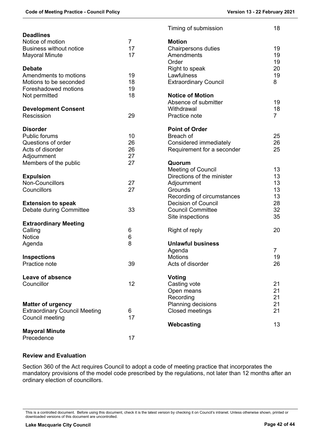| <b>Deadlines</b>                         |                | Timing of submission                                    | 18             |
|------------------------------------------|----------------|---------------------------------------------------------|----------------|
| Notice of motion                         | $\overline{7}$ | <b>Motion</b>                                           |                |
| <b>Business without notice</b>           | 17             | Chairpersons duties                                     | 19             |
| <b>Mayoral Minute</b>                    | 17             | Amendments                                              | 19             |
|                                          |                | Order                                                   | 19             |
| <b>Debate</b>                            |                | Right to speak                                          | 20             |
| Amendments to motions                    | 19             | Lawfulness                                              | 19             |
| Motions to be seconded                   | 18             | <b>Extraordinary Council</b>                            | 8              |
| Foreshadowed motions                     | 19             |                                                         |                |
| Not permitted                            | 18             | <b>Notice of Motion</b>                                 |                |
|                                          |                | Absence of submitter                                    | 19             |
|                                          |                | Withdrawal                                              | 18             |
| <b>Development Consent</b><br>Rescission | 29             | Practice note                                           | $\overline{7}$ |
|                                          |                |                                                         |                |
| <b>Disorder</b>                          |                | <b>Point of Order</b>                                   |                |
| Public forums                            | 10             | Breach of                                               | 25             |
| Questions of order                       | 26             | Considered immediately                                  | 26             |
| Acts of disorder                         | 26             | Requirement for a seconder                              | 25             |
|                                          | 27             |                                                         |                |
| Adjournment                              | 27             | Quorum                                                  |                |
| Members of the public                    |                |                                                         | 13             |
|                                          |                | <b>Meeting of Council</b><br>Directions of the minister | 13             |
| <b>Expulsion</b><br>Non-Councillors      |                |                                                         |                |
|                                          | 27             | Adjournment                                             | 13             |
| Councillors                              | 27             | Grounds                                                 | 13             |
|                                          |                | Recording of circumstances                              | 13             |
| <b>Extension to speak</b>                |                | <b>Decision of Council</b>                              | 28             |
| Debate during Committee                  | 33             | <b>Council Committee</b>                                | 32             |
|                                          |                | Site inspections                                        | 35             |
| <b>Extraordinary Meeting</b>             |                |                                                         |                |
| Calling                                  | 6              | Right of reply                                          | 20             |
| <b>Notice</b>                            | 6              |                                                         |                |
| Agenda                                   | 8              | <b>Unlawful business</b>                                |                |
|                                          |                | Agenda                                                  | $\overline{7}$ |
| <b>Inspections</b>                       |                | <b>Motions</b>                                          | 19             |
| Practice note                            | 39             | Acts of disorder                                        | 26             |
|                                          |                |                                                         |                |
| Leave of absence                         |                | <b>Voting</b>                                           |                |
| Councillor                               | 12             | Casting vote                                            | 21             |
|                                          |                | Open means                                              | 21             |
|                                          |                | Recording                                               | 21             |
| <b>Matter of urgency</b>                 |                | Planning decisions                                      | 21             |
| <b>Extraordinary Council Meeting</b>     | 6              | <b>Closed meetings</b>                                  | 21             |
| Council meeting                          | 17             |                                                         |                |
|                                          |                | Webcasting                                              | 13             |
| <b>Mayoral Minute</b>                    |                |                                                         |                |
| Precedence                               | 17             |                                                         |                |

#### <span id="page-41-0"></span>**Review and Evaluation**

Section 360 of the Act requires Council to adopt a code of meeting practice that incorporates the mandatory provisions of the model code prescribed by the regulations, not later than 12 months after an ordinary election of councillors.

This is a controlled document. Before using this document, check it is the latest version by checking it on Council's intranet. Unless otherwise shown, printed or downloaded versions of this document are uncontrolled.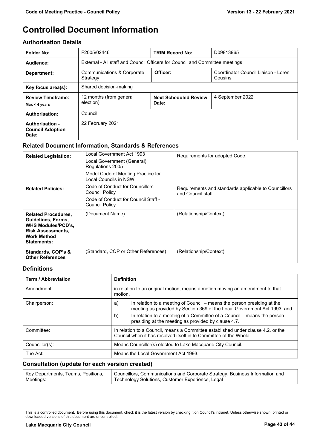# **Controlled Document Information**

#### **Authorisation Details**

| <b>Folder No:</b>                                   | F2005/02446                                                                  | <b>TRIM Record No:</b>                | D09813965                                      |
|-----------------------------------------------------|------------------------------------------------------------------------------|---------------------------------------|------------------------------------------------|
| Audience:                                           | External - All staff and Council Officers for Council and Committee meetings |                                       |                                                |
| Department:                                         | <b>Communications &amp; Corporate</b><br>Strategy                            | Officer:                              | Coordinator Council Liaison - Loren<br>Cousins |
| Shared decision-making<br>Key focus area(s):        |                                                                              |                                       |                                                |
| <b>Review Timeframe:</b><br>$Max < 4$ years         | 12 months (from general<br>election)                                         | <b>Next Scheduled Review</b><br>Date: | 4 September 2022                               |
| Authorisation:                                      | Council                                                                      |                                       |                                                |
| Authorisation -<br><b>Council Adoption</b><br>Date: | 22 February 2021                                                             |                                       |                                                |

#### **Related Document Information, Standards & References**

| <b>Related Legislation:</b>                                                                                                             | Local Government Act 1993<br>Local Government (General)<br>Regulations 2005<br>Model Code of Meeting Practice for<br>Local Councils in NSW | Requirements for adopted Code.                                            |
|-----------------------------------------------------------------------------------------------------------------------------------------|--------------------------------------------------------------------------------------------------------------------------------------------|---------------------------------------------------------------------------|
| <b>Related Policies:</b>                                                                                                                | Code of Conduct for Councillors -<br>Council Policy<br>Code of Conduct for Council Staff -<br><b>Council Policy</b>                        | Requirements and standards applicable to Councillors<br>and Council staff |
| <b>Related Procedures.</b><br>Guidelines, Forms,<br>WHS Modules/PCD's,<br><b>Risk Assessments,</b><br><b>Work Method</b><br>Statements: | (Document Name)                                                                                                                            | (Relationship/Context)                                                    |
| Standards, COP's &<br><b>Other References</b>                                                                                           | (Standard, COP or Other References)                                                                                                        | (Relationship/Context)                                                    |

#### **Definitions**

| Term / Abbreviation | <b>Definition</b>                                                                                                                                         |  |
|---------------------|-----------------------------------------------------------------------------------------------------------------------------------------------------------|--|
| Amendment:          | in relation to an original motion, means a motion moving an amendment to that<br>motion.                                                                  |  |
| Chairperson:        | In relation to a meeting of Council – means the person presiding at the<br>a)<br>meeting as provided by Section 369 of the Local Government Act 1993, and |  |
|                     | b)<br>In relation to a meeting of a Committee of a Council – means the person<br>presiding at the meeting as provided by clause 4.7.                      |  |
| Committee:          | In relation to a Council, means a Committee established under clause 4.2, or the<br>Council when it has resolved itself in to Committee of the Whole.     |  |
| Councillor(s):      | Means Councillor(s) elected to Lake Macquarie City Council.                                                                                               |  |
| The Act:            | Means the Local Government Act 1993.                                                                                                                      |  |

#### **Consultation (update for each version created)**

|           | Key Departments, Teams, Positions,   Councillors, Communications and Corporate Strategy, Business Information and |
|-----------|-------------------------------------------------------------------------------------------------------------------|
| Meetings: | Technology Solutions, Customer Experience, Legal                                                                  |

This is a controlled document. Before using this document, check it is the latest version by checking it on Council's intranet. Unless otherwise shown, printed or downloaded versions of this document are uncontrolled.